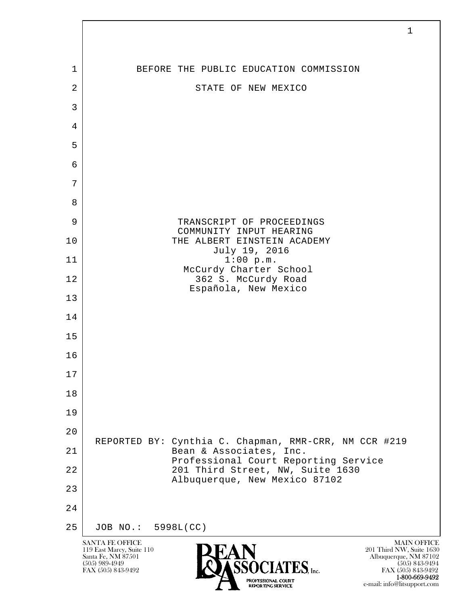|                | 1                                                                                                                                                                                                                          |
|----------------|----------------------------------------------------------------------------------------------------------------------------------------------------------------------------------------------------------------------------|
|                |                                                                                                                                                                                                                            |
| 1              | BEFORE THE PUBLIC EDUCATION COMMISSION                                                                                                                                                                                     |
| $\overline{2}$ | STATE OF NEW MEXICO                                                                                                                                                                                                        |
| 3              |                                                                                                                                                                                                                            |
| $\overline{4}$ |                                                                                                                                                                                                                            |
| 5              |                                                                                                                                                                                                                            |
| 6              |                                                                                                                                                                                                                            |
| 7              |                                                                                                                                                                                                                            |
| 8              |                                                                                                                                                                                                                            |
| 9              | TRANSCRIPT OF PROCEEDINGS<br>COMMUNITY INPUT HEARING                                                                                                                                                                       |
| 10             | THE ALBERT EINSTEIN ACADEMY<br>July 19, 2016                                                                                                                                                                               |
| 11             | $1:00$ p.m.<br>McCurdy Charter School                                                                                                                                                                                      |
| 12             | 362 S. McCurdy Road<br>Española, New Mexico                                                                                                                                                                                |
| 13             |                                                                                                                                                                                                                            |
| 14             |                                                                                                                                                                                                                            |
| 15             |                                                                                                                                                                                                                            |
| 16             |                                                                                                                                                                                                                            |
| 17             |                                                                                                                                                                                                                            |
| 18             |                                                                                                                                                                                                                            |
| 19             |                                                                                                                                                                                                                            |
| 20             | REPORTED BY: Cynthia C. Chapman, RMR-CRR, NM CCR #219                                                                                                                                                                      |
| 21             | Bean & Associates, Inc.<br>Professional Court Reporting Service                                                                                                                                                            |
| 22             | 201 Third Street, NW, Suite 1630<br>Albuquerque, New Mexico 87102                                                                                                                                                          |
| 23             |                                                                                                                                                                                                                            |
| 24             |                                                                                                                                                                                                                            |
| 25             | JOB NO.: 5998L(CC)<br><b>SANTA FE OFFICE</b><br><b>MAIN OFFICE</b>                                                                                                                                                         |
|                | 201 Third NW, Suite 1630<br>119 East Marcy, Suite 110<br>Santa Fe, NM 87501<br>Albuquerque, NM 87102<br>$(505)$ 989-4949<br>$(505)$ 843-9494<br>$TES$ , Inc.<br>FAX (505) 843-9492<br>FAX (505) 843-9492<br>1-800-669-9492 |

e-mail: info@litsupport.com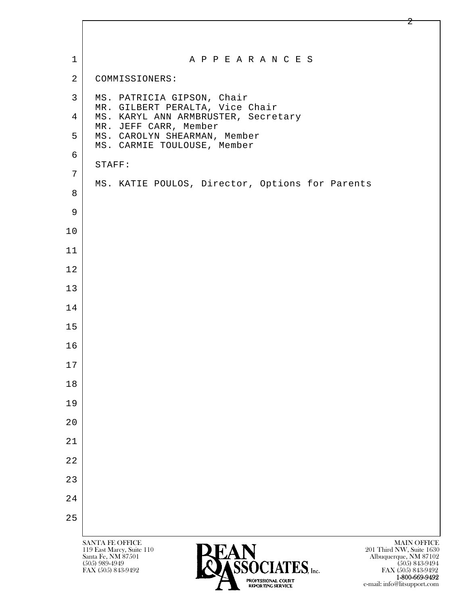| $\mathbf{1}$   | A P P E A R A N C E S                                                                                                                                            |
|----------------|------------------------------------------------------------------------------------------------------------------------------------------------------------------|
| $\overline{2}$ | COMMISSIONERS:                                                                                                                                                   |
| $\mathsf{3}$   | MS. PATRICIA GIPSON, Chair                                                                                                                                       |
| 4              | MR. GILBERT PERALTA, Vice Chair<br>MS. KARYL ANN ARMBRUSTER, Secretary                                                                                           |
| 5              | MR. JEFF CARR, Member<br>MS. CAROLYN SHEARMAN, Member                                                                                                            |
| 6              | MS. CARMIE TOULOUSE, Member                                                                                                                                      |
| 7              | STAFF:                                                                                                                                                           |
| 8              | MS. KATIE POULOS, Director, Options for Parents                                                                                                                  |
| 9              |                                                                                                                                                                  |
| 10             |                                                                                                                                                                  |
| 11             |                                                                                                                                                                  |
| 12             |                                                                                                                                                                  |
| 13             |                                                                                                                                                                  |
| 14             |                                                                                                                                                                  |
| 15             |                                                                                                                                                                  |
| 16             |                                                                                                                                                                  |
| 17             |                                                                                                                                                                  |
| 18             |                                                                                                                                                                  |
| 19             |                                                                                                                                                                  |
| 20             |                                                                                                                                                                  |
| 21             |                                                                                                                                                                  |
| 22             |                                                                                                                                                                  |
| 23             |                                                                                                                                                                  |
| 24             |                                                                                                                                                                  |
| 25             |                                                                                                                                                                  |
|                | SANTA FE OFFICE<br><b>MAIN OFFICE</b>                                                                                                                            |
|                | 119 East Marcy, Suite 110<br>201 Third NW, Suite 1630<br>Santa Fe, NM 87501<br>Albuquerque, NM 87102<br><b>CCÀCLATEC</b><br>$(505) 843-9494$<br>$(505)$ 989-4949 |

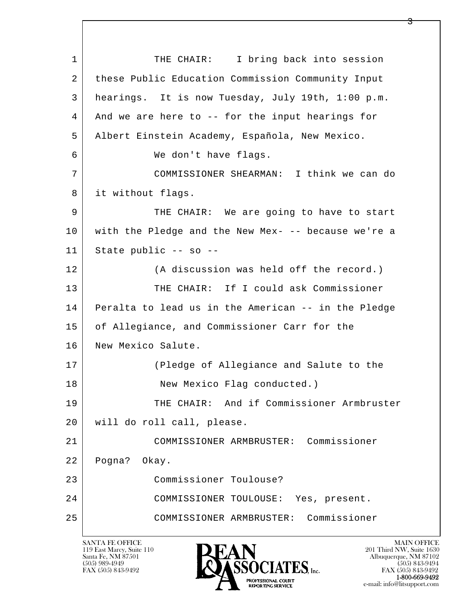l  $\overline{\phantom{a}}$ 1 THE CHAIR: I bring back into session 2 these Public Education Commission Community Input 3 hearings. It is now Tuesday, July 19th, 1:00 p.m. 4 And we are here to -- for the input hearings for 5 Albert Einstein Academy, Española, New Mexico. 6 We don't have flags. 7 COMMISSIONER SHEARMAN: I think we can do 8 it without flags. 9 THE CHAIR: We are going to have to start 10 with the Pledge and the New Mex- -- because we're a  $11$  State public -- so -- 12 (A discussion was held off the record.) 13 THE CHAIR: If I could ask Commissioner 14 Peralta to lead us in the American -- in the Pledge 15 of Allegiance, and Commissioner Carr for the 16 New Mexico Salute. 17 (Pledge of Allegiance and Salute to the 18 | New Mexico Flag conducted.) 19 THE CHAIR: And if Commissioner Armbruster 20 will do roll call, please. 21 COMMISSIONER ARMBRUSTER: Commissioner 22 Pogna? Okay. 23 Commissioner Toulouse? 24 COMMISSIONER TOULOUSE: Yes, present. 25 COMMISSIONER ARMBRUSTER: Commissioner

119 East Marcy, Suite 110<br>Santa Fe, NM 87501

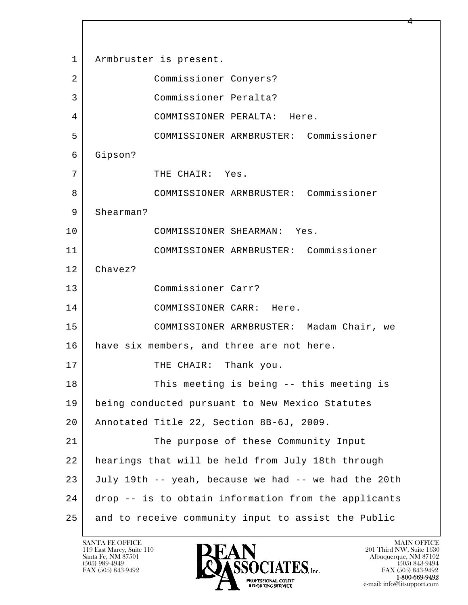l  $\overline{\phantom{a}}$ 1 | Armbruster is present. 2 Commissioner Conyers? 3 Commissioner Peralta? 4 COMMISSIONER PERALTA: Here. 5 COMMISSIONER ARMBRUSTER: Commissioner 6 Gipson? 7 THE CHAIR: Yes. 8 COMMISSIONER ARMBRUSTER: Commissioner 9 Shearman? 10 COMMISSIONER SHEARMAN: Yes. 11 COMMISSIONER ARMBRUSTER: Commissioner 12 Chavez? 13 Commissioner Carr? 14 COMMISSIONER CARR: Here. 15 COMMISSIONER ARMBRUSTER: Madam Chair, we 16 have six members, and three are not here. 17 | THE CHAIR: Thank you. 18 | This meeting is being -- this meeting is 19 being conducted pursuant to New Mexico Statutes 20 Annotated Title 22, Section 8B-6J, 2009. 21 The purpose of these Community Input 22 hearings that will be held from July 18th through  $23$  July 19th -- yeah, because we had -- we had the 20th 24 drop -- is to obtain information from the applicants 25 and to receive community input to assist the Public

119 East Marcy, Suite 110<br>Santa Fe, NM 87501

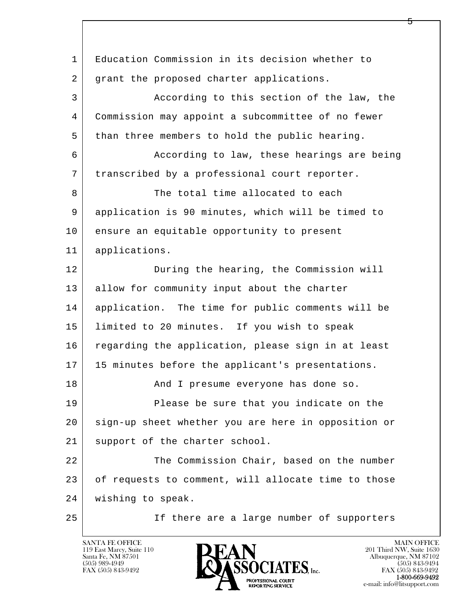l  $\overline{\phantom{a}}$ 1 Education Commission in its decision whether to 2 grant the proposed charter applications. 3 According to this section of the law, the 4 Commission may appoint a subcommittee of no fewer 5 than three members to hold the public hearing. 6 According to law, these hearings are being 7 | transcribed by a professional court reporter. 8 The total time allocated to each 9 application is 90 minutes, which will be timed to 10 ensure an equitable opportunity to present 11 applications. 12 During the hearing, the Commission will 13 allow for community input about the charter 14 application. The time for public comments will be 15 limited to 20 minutes. If you wish to speak 16 regarding the application, please sign in at least 17 | 15 minutes before the applicant's presentations. 18 and I presume everyone has done so. 19 Please be sure that you indicate on the 20 sign-up sheet whether you are here in opposition or 21 | support of the charter school. 22 The Commission Chair, based on the number 23 of requests to comment, will allocate time to those 24 wishing to speak. 25 If there are a large number of supporters

119 East Marcy, Suite 110<br>Santa Fe, NM 87501

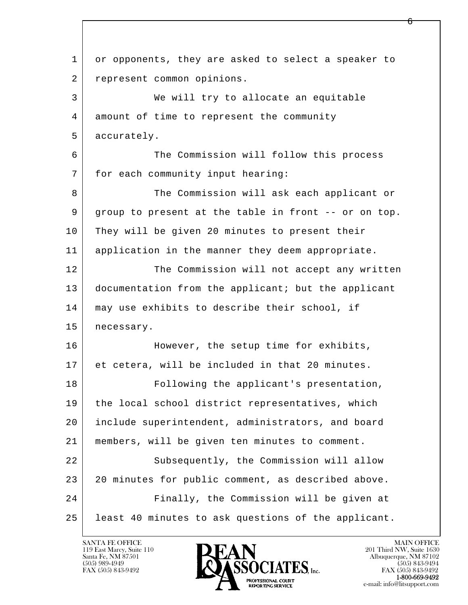l  $\overline{\phantom{a}}$  1 or opponents, they are asked to select a speaker to 2 represent common opinions. 3 We will try to allocate an equitable 4 amount of time to represent the community 5 accurately. 6 The Commission will follow this process 7 | for each community input hearing: 8 | The Commission will ask each applicant or 9 group to present at the table in front -- or on top. 10 They will be given 20 minutes to present their 11 application in the manner they deem appropriate. 12 The Commission will not accept any written 13 documentation from the applicant; but the applicant 14 | may use exhibits to describe their school, if 15 necessary. 16 However, the setup time for exhibits, 17 et cetera, will be included in that 20 minutes. 18 Following the applicant's presentation, 19 | the local school district representatives, which 20 include superintendent, administrators, and board 21 members, will be given ten minutes to comment. 22 Subsequently, the Commission will allow 23 20 minutes for public comment, as described above. 24 Finally, the Commission will be given at 25 least 40 minutes to ask questions of the applicant.

119 East Marcy, Suite 110<br>Santa Fe, NM 87501

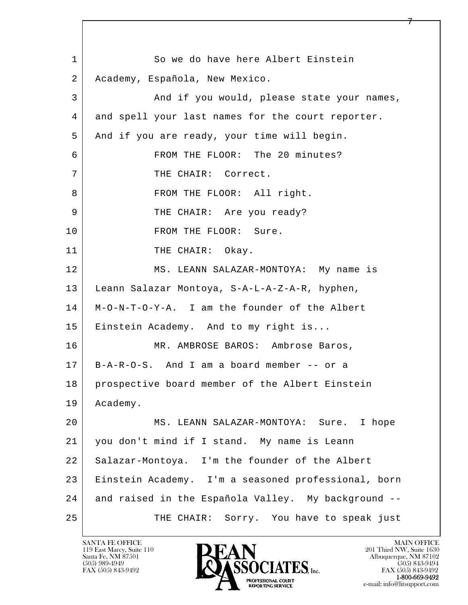l  $\overline{\phantom{a}}$ 1 So we do have here Albert Einstein 2 Academy, Española, New Mexico. 3 And if you would, please state your names, 4 and spell your last names for the court reporter. 5 And if you are ready, your time will begin. 6 FROM THE FLOOR: The 20 minutes? 7 | THE CHAIR: Correct. 8 | FROM THE FLOOR: All right. 9 | THE CHAIR: Are you ready? 10 FROM THE FLOOR: Sure. 11 THE CHAIR: Okay. 12 MS. LEANN SALAZAR-MONTOYA: My name is 13 Leann Salazar Montoya, S-A-L-A-Z-A-R, hyphen, 14 M-O-N-T-O-Y-A. I am the founder of the Albert 15 | Einstein Academy. And to my right is... 16 | MR. AMBROSE BAROS: Ambrose Baros, 17 B-A-R-O-S. And I am a board member -- or a 18 prospective board member of the Albert Einstein 19 Academy. 20 MS. LEANN SALAZAR-MONTOYA: Sure. I hope 21 you don't mind if I stand. My name is Leann 22 Salazar-Montoya. I'm the founder of the Albert 23 Einstein Academy. I'm a seasoned professional, born 24 and raised in the Española Valley. My background -- 25 THE CHAIR: Sorry. You have to speak just

119 East Marcy, Suite 110<br>Santa Fe, NM 87501

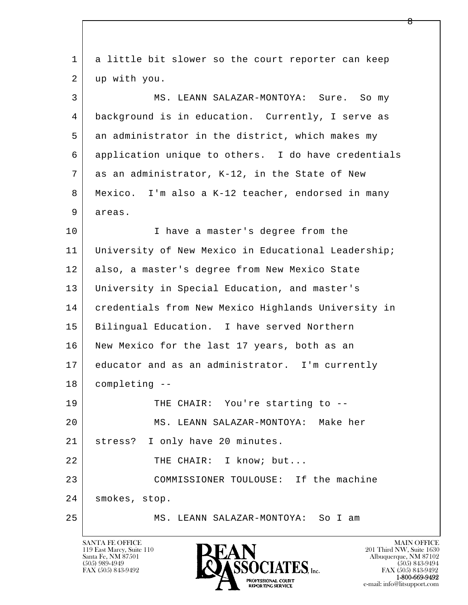| 1  | a little bit slower so the court reporter can keep  |
|----|-----------------------------------------------------|
| 2  | up with you.                                        |
| 3  | MS. LEANN SALAZAR-MONTOYA: Sure. So my              |
| 4  | background is in education. Currently, I serve as   |
| 5  | an administrator in the district, which makes my    |
| 6  | application unique to others. I do have credentials |
| 7  | as an administrator, K-12, in the State of New      |
| 8  | Mexico. I'm also a K-12 teacher, endorsed in many   |
| 9  | areas.                                              |
| 10 | I have a master's degree from the                   |
| 11 | University of New Mexico in Educational Leadership; |
| 12 | also, a master's degree from New Mexico State       |
| 13 | University in Special Education, and master's       |
| 14 | credentials from New Mexico Highlands University in |
| 15 | Bilingual Education. I have served Northern         |
| 16 | New Mexico for the last 17 years, both as an        |
| 17 | educator and as an administrator. I'm currently     |
| 18 | completing --                                       |
| 19 | THE CHAIR: You're starting to --                    |
| 20 | MS. LEANN SALAZAR-MONTOYA: Make her                 |
| 21 | stress? I only have 20 minutes.                     |
| 22 | THE CHAIR: I know; but                              |
| 23 | COMMISSIONER TOULOUSE: If the machine               |
| 24 | smokes, stop.                                       |
| 25 | MS. LEANN SALAZAR-MONTOYA: So I am                  |
|    |                                                     |

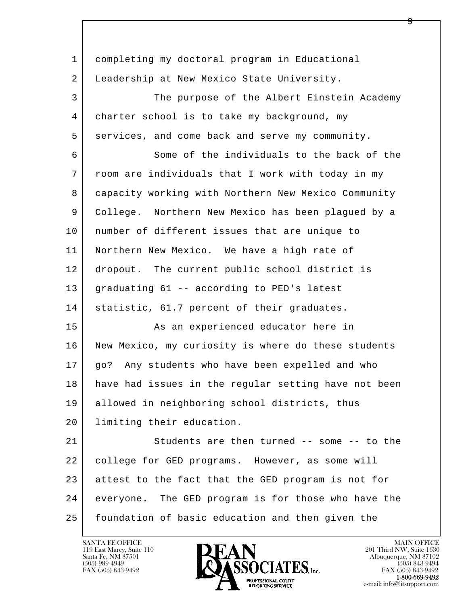| $\mathbf{1}$ | completing my doctoral program in Educational        |
|--------------|------------------------------------------------------|
| 2            | Leadership at New Mexico State University.           |
| 3            | The purpose of the Albert Einstein Academy           |
| 4            | charter school is to take my background, my          |
| 5            | services, and come back and serve my community.      |
| 6            | Some of the individuals to the back of the           |
| 7            | room are individuals that I work with today in my    |
| 8            | capacity working with Northern New Mexico Community  |
| 9            | College. Northern New Mexico has been plagued by a   |
| 10           | number of different issues that are unique to        |
| 11           | Northern New Mexico. We have a high rate of          |
| 12           | dropout. The current public school district is       |
| 13           | graduating 61 -- according to PED's latest           |
| 14           | statistic, 61.7 percent of their graduates.          |
| 15           | As an experienced educator here in                   |
| 16           | New Mexico, my curiosity is where do these students  |
| 17           | Any students who have been expelled and who<br>go?   |
| 18           | have had issues in the regular setting have not been |
| 19           | allowed in neighboring school districts, thus        |
| 20           | limiting their education.                            |
| 21           | Students are then turned -- some -- to the           |
| 22           | college for GED programs. However, as some will      |
| 23           | attest to the fact that the GED program is not for   |
| 24           | everyone. The GED program is for those who have the  |
| 25           | foundation of basic education and then given the     |

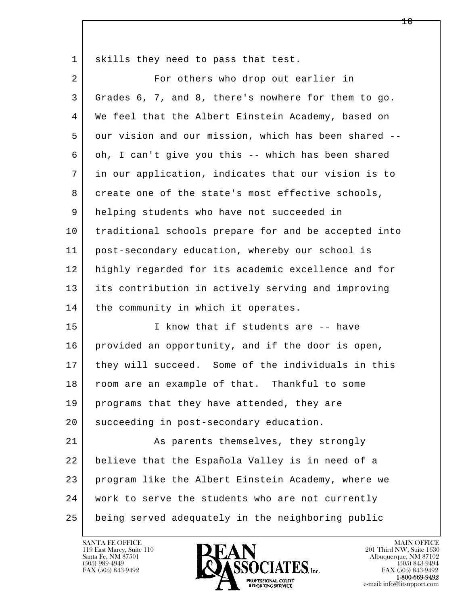1 skills they need to pass that test.

| $\overline{2}$ | For others who drop out earlier in                   |
|----------------|------------------------------------------------------|
| 3              | Grades 6, 7, and 8, there's nowhere for them to go.  |
| 4              | We feel that the Albert Einstein Academy, based on   |
| 5              | our vision and our mission, which has been shared -- |
| 6              | oh, I can't give you this -- which has been shared   |
| 7              | in our application, indicates that our vision is to  |
| 8              | create one of the state's most effective schools,    |
| 9              | helping students who have not succeeded in           |
| 10             | traditional schools prepare for and be accepted into |
| 11             | post-secondary education, whereby our school is      |
| 12             | highly regarded for its academic excellence and for  |
| 13             | its contribution in actively serving and improving   |
| 14             | the community in which it operates.                  |
| 15             | I know that if students are -- have                  |
| 16             | provided an opportunity, and if the door is open,    |
| 17             | they will succeed. Some of the individuals in this   |
| 18             | room are an example of that. Thankful to some        |
| 19             | programs that they have attended, they are           |
| 20             | succeeding in post-secondary education.              |
| 21             | As parents themselves, they strongly                 |
| 22             | believe that the Española Valley is in need of a     |
| 23             | program like the Albert Einstein Academy, where we   |
| 24             | work to serve the students who are not currently     |
| 25             | being served adequately in the neighboring public    |

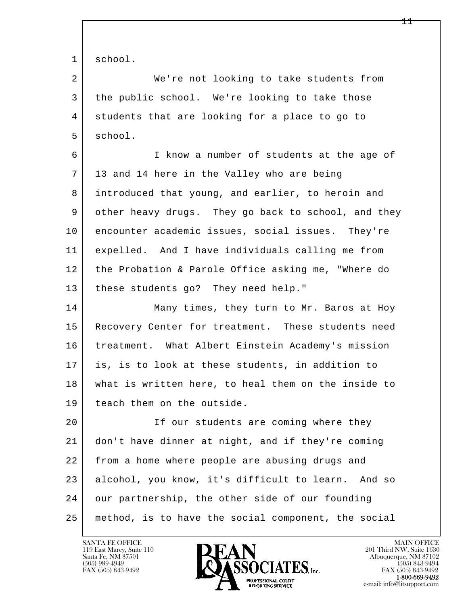1 school.

 2 We're not looking to take students from 3 the public school. We're looking to take those 4 students that are looking for a place to go to 5 school.

 6 I know a number of students at the age of 7 13 and 14 here in the Valley who are being 8 introduced that young, and earlier, to heroin and 9 other heavy drugs. They go back to school, and they 10 encounter academic issues, social issues. They're 11 expelled. And I have individuals calling me from 12 the Probation & Parole Office asking me, "Where do 13 | these students go? They need help."

14 Many times, they turn to Mr. Baros at Hoy 15 | Recovery Center for treatment. These students need 16 treatment. What Albert Einstein Academy's mission 17 is, is to look at these students, in addition to 18 what is written here, to heal them on the inside to 19 teach them on the outside.

l  $\overline{\phantom{a}}$ 20 If our students are coming where they 21 don't have dinner at night, and if they're coming 22 from a home where people are abusing drugs and 23 alcohol, you know, it's difficult to learn. And so 24 our partnership, the other side of our founding 25 method, is to have the social component, the social

119 East Marcy, Suite 110<br>Santa Fe, NM 87501

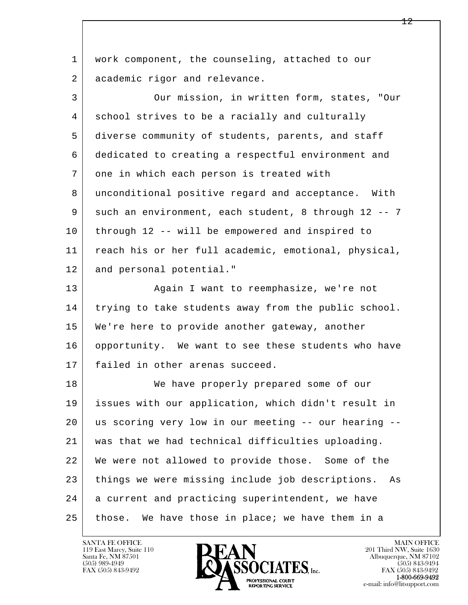| $\mathbf{1}$ | work component, the counseling, attached to our        |
|--------------|--------------------------------------------------------|
| 2            | academic rigor and relevance.                          |
| 3            | Our mission, in written form, states, "Our             |
| 4            | school strives to be a racially and culturally         |
| 5            | diverse community of students, parents, and staff      |
| 6            | dedicated to creating a respectful environment and     |
| 7            | one in which each person is treated with               |
| 8            | unconditional positive regard and acceptance. With     |
| 9            | such an environment, each student, 8 through 12 -- 7   |
| 10           | through 12 -- will be empowered and inspired to        |
| 11           | reach his or her full academic, emotional, physical,   |
| 12           | and personal potential."                               |
| 13           | Again I want to reemphasize, we're not                 |
| 14           | trying to take students away from the public school.   |
| 15           | We're here to provide another gateway, another         |
| 16           | opportunity. We want to see these students who have    |
| 17           | failed in other arenas succeed.                        |
| 18           | We have properly prepared some of our                  |
| 19           | issues with our application, which didn't result in    |
| 20           | us scoring very low in our meeting -- our hearing --   |
| 21           | was that we had technical difficulties uploading.      |
| 22           | We were not allowed to provide those. Some of the      |
| 23           | things we were missing include job descriptions.<br>As |
| 24           | a current and practicing superintendent, we have       |
| 25           | those.<br>We have those in place; we have them in a    |

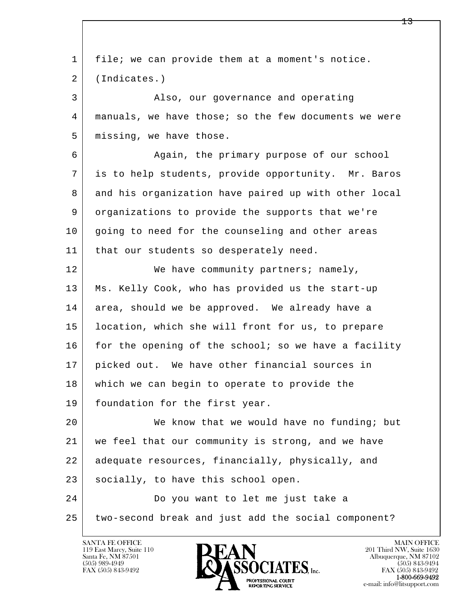l  $\overline{\phantom{a}}$  1 file; we can provide them at a moment's notice. 2 (Indicates.) 3 Also, our governance and operating 4 manuals, we have those; so the few documents we were 5 missing, we have those. 6 Again, the primary purpose of our school 7 is to help students, provide opportunity. Mr. Baros 8 and his organization have paired up with other local 9 organizations to provide the supports that we're 10 going to need for the counseling and other areas 11 | that our students so desperately need. 12 We have community partners; namely, 13 Ms. Kelly Cook, who has provided us the start-up 14 area, should we be approved. We already have a 15 location, which she will front for us, to prepare 16 for the opening of the school; so we have a facility 17 picked out. We have other financial sources in 18 which we can begin to operate to provide the 19 foundation for the first year. 20 We know that we would have no funding; but 21 we feel that our community is strong, and we have 22 adequate resources, financially, physically, and 23 socially, to have this school open. 24 Do you want to let me just take a 25 two-second break and just add the social component?

119 East Marcy, Suite 110<br>Santa Fe, NM 87501



FAX (505) 843-9492<br>1-800-669-9492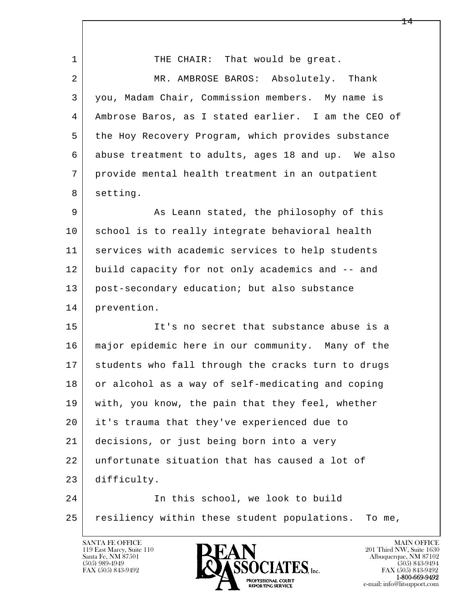| $\mathbf 1$ | THE CHAIR: That would be great.                        |
|-------------|--------------------------------------------------------|
| 2           | MR. AMBROSE BAROS: Absolutely. Thank                   |
| 3           | you, Madam Chair, Commission members. My name is       |
| 4           | Ambrose Baros, as I stated earlier. I am the CEO of    |
| 5           | the Hoy Recovery Program, which provides substance     |
| 6           | abuse treatment to adults, ages 18 and up. We also     |
| 7           | provide mental health treatment in an outpatient       |
| 8           | setting.                                               |
| 9           | As Leann stated, the philosophy of this                |
| 10          | school is to really integrate behavioral health        |
| 11          | services with academic services to help students       |
| 12          | build capacity for not only academics and -- and       |
| 13          | post-secondary education; but also substance           |
| 14          | prevention.                                            |
| 15          | It's no secret that substance abuse is a               |
| 16          | major epidemic here in our community. Many of the      |
| 17          | students who fall through the cracks turn to drugs     |
| 18          | or alcohol as a way of self-medicating and coping      |
| 19          | with, you know, the pain that they feel, whether       |
| 20          | it's trauma that they've experienced due to            |
| 21          | decisions, or just being born into a very              |
| 22          | unfortunate situation that has caused a lot of         |
| 23          | difficulty.                                            |
| 24          | In this school, we look to build                       |
| 25          | resiliency within these student populations.<br>To me, |

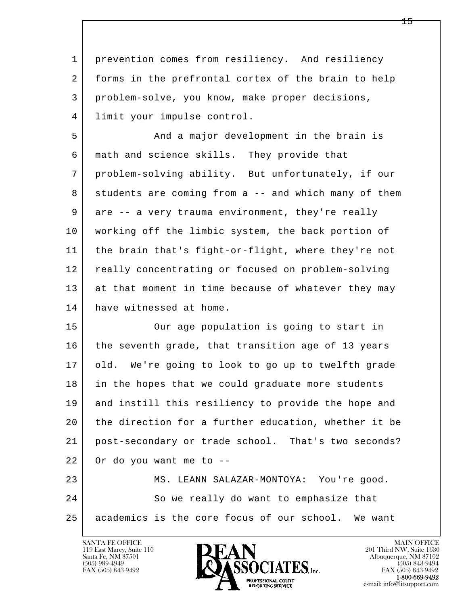1 prevention comes from resiliency. And resiliency 2 forms in the prefrontal cortex of the brain to help 3 problem-solve, you know, make proper decisions, 4 limit your impulse control.

5 And a major development in the brain is 6 math and science skills. They provide that 7 problem-solving ability. But unfortunately, if our 8 students are coming from a -- and which many of them 9 are -- a very trauma environment, they're really 10 working off the limbic system, the back portion of 11 the brain that's fight-or-flight, where they're not 12 really concentrating or focused on problem-solving 13 at that moment in time because of whatever they may 14 have witnessed at home.

l  $\overline{\phantom{a}}$  15 Our age population is going to start in 16 the seventh grade, that transition age of 13 years 17 old. We're going to look to go up to twelfth grade 18 in the hopes that we could graduate more students 19 and instill this resiliency to provide the hope and 20 the direction for a further education, whether it be 21 post-secondary or trade school. That's two seconds?  $22$  Or do you want me to  $-$  23 MS. LEANN SALAZAR-MONTOYA: You're good. 24 So we really do want to emphasize that 25 academics is the core focus of our school. We want

119 East Marcy, Suite 110<br>Santa Fe, NM 87501



FAX (505) 843-9492<br>**1-800-669-9492**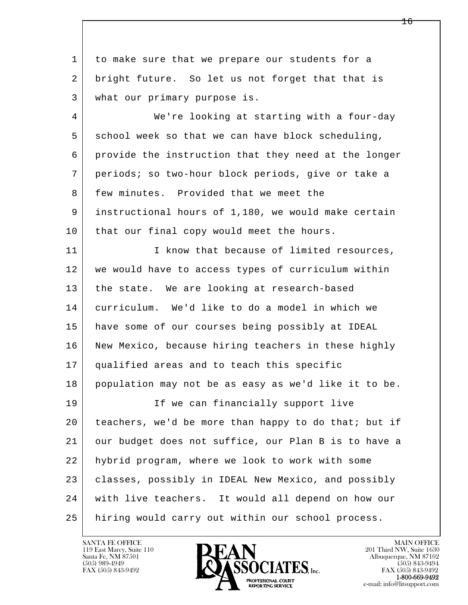1 to make sure that we prepare our students for a 2 bright future. So let us not forget that that is 3 what our primary purpose is.

 4 We're looking at starting with a four-day 5 school week so that we can have block scheduling, 6 provide the instruction that they need at the longer 7 periods; so two-hour block periods, give or take a 8 few minutes. Provided that we meet the 9 instructional hours of 1,180, we would make certain 10 | that our final copy would meet the hours.

l  $\overline{\phantom{a}}$ 11 | The Interest Limited resources, 12 we would have to access types of curriculum within 13 the state. We are looking at research-based 14 curriculum. We'd like to do a model in which we 15 have some of our courses being possibly at IDEAL 16 New Mexico, because hiring teachers in these highly 17 qualified areas and to teach this specific 18 population may not be as easy as we'd like it to be. 19 | The can financially support live 20 teachers, we'd be more than happy to do that; but if 21 our budget does not suffice, our Plan B is to have a 22 hybrid program, where we look to work with some 23 classes, possibly in IDEAL New Mexico, and possibly 24 with live teachers. It would all depend on how our 25 hiring would carry out within our school process.



FAX (505) 843-9492<br>**1-800-669-9492**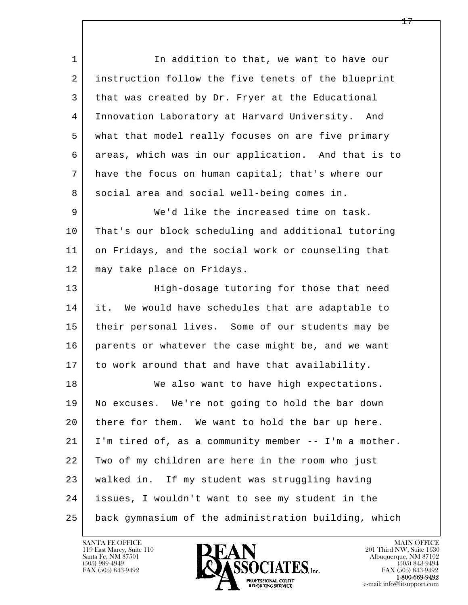l  $\overline{\phantom{a}}$ 1 In addition to that, we want to have our 2 instruction follow the five tenets of the blueprint 3 that was created by Dr. Fryer at the Educational 4 Innovation Laboratory at Harvard University. And 5 what that model really focuses on are five primary 6 areas, which was in our application. And that is to 7 have the focus on human capital; that's where our 8 social area and social well-being comes in. 9 We'd like the increased time on task. 10 That's our block scheduling and additional tutoring 11 on Fridays, and the social work or counseling that 12 may take place on Fridays. 13 | High-dosage tutoring for those that need 14 it. We would have schedules that are adaptable to 15 their personal lives. Some of our students may be 16 parents or whatever the case might be, and we want 17 to work around that and have that availability. 18 | We also want to have high expectations. 19 No excuses. We're not going to hold the bar down 20 there for them. We want to hold the bar up here. 21 I'm tired of, as a community member -- I'm a mother. 22 Two of my children are here in the room who just 23 walked in. If my student was struggling having 24 issues, I wouldn't want to see my student in the 25 back gymnasium of the administration building, which

119 East Marcy, Suite 110<br>Santa Fe, NM 87501

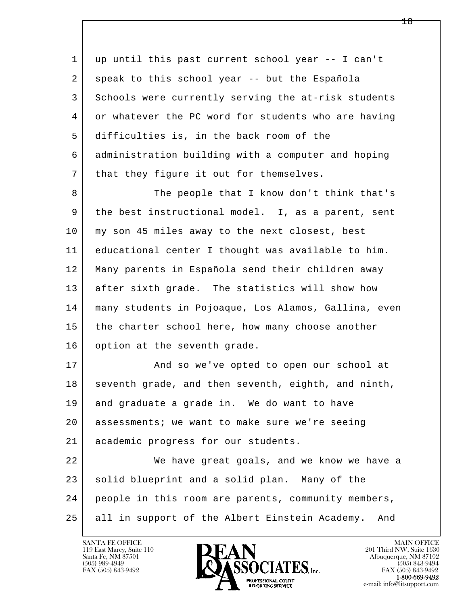l  $\overline{\phantom{a}}$  1 up until this past current school year -- I can't 2 speak to this school year -- but the Española 3 Schools were currently serving the at-risk students 4 or whatever the PC word for students who are having 5 difficulties is, in the back room of the 6 | administration building with a computer and hoping 7 that they figure it out for themselves. 8 The people that I know don't think that's 9 the best instructional model. I, as a parent, sent 10 my son 45 miles away to the next closest, best 11 educational center I thought was available to him. 12 Many parents in Española send their children away 13 after sixth grade. The statistics will show how 14 many students in Pojoaque, Los Alamos, Gallina, even 15 the charter school here, how many choose another 16 option at the seventh grade. 17 | And so we've opted to open our school at 18 seventh grade, and then seventh, eighth, and ninth, 19 and graduate a grade in. We do want to have 20 assessments; we want to make sure we're seeing 21 academic progress for our students. 22 We have great goals, and we know we have a 23 | solid blueprint and a solid plan. Many of the 24 people in this room are parents, community members,

25 all in support of the Albert Einstein Academy. And

119 East Marcy, Suite 110<br>Santa Fe, NM 87501



FAX (505) 843-9492<br>**1-800-669-9492**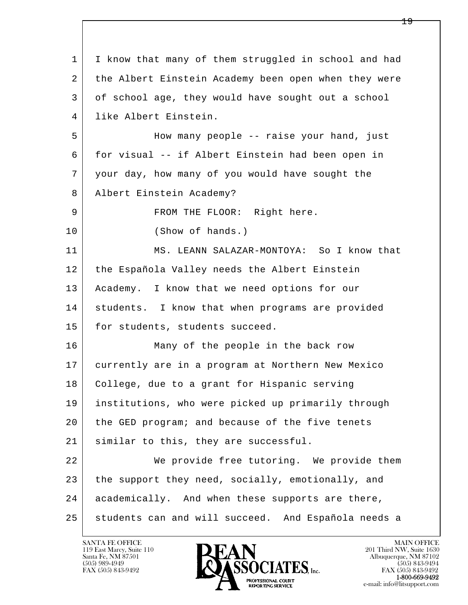| $\mathbf{1}$ | I know that many of them struggled in school and had |
|--------------|------------------------------------------------------|
| 2            | the Albert Einstein Academy been open when they were |
| 3            | of school age, they would have sought out a school   |
| 4            | like Albert Einstein.                                |
| 5            | How many people -- raise your hand, just             |
| 6            | for visual -- if Albert Einstein had been open in    |
| 7            | your day, how many of you would have sought the      |
| 8            | Albert Einstein Academy?                             |
| 9            | FROM THE FLOOR: Right here.                          |
| 10           | (Show of hands.)                                     |
| 11           | MS. LEANN SALAZAR-MONTOYA: So I know that            |
| 12           | the Española Valley needs the Albert Einstein        |
| 13           | Academy. I know that we need options for our         |
| 14           | students. I know that when programs are provided     |
| 15           | for students, students succeed.                      |
| 16           | Many of the people in the back row                   |
| 17           | currently are in a program at Northern New Mexico    |
| 18           | College, due to a grant for Hispanic serving         |
| 19           | institutions, who were picked up primarily through   |
| 20           | the GED program; and because of the five tenets      |
| 21           | similar to this, they are successful.                |
| 22           | We provide free tutoring. We provide them            |
| 23           | the support they need, socially, emotionally, and    |
| 24           | academically. And when these supports are there,     |
| 25           | students can and will succeed. And Española needs a  |

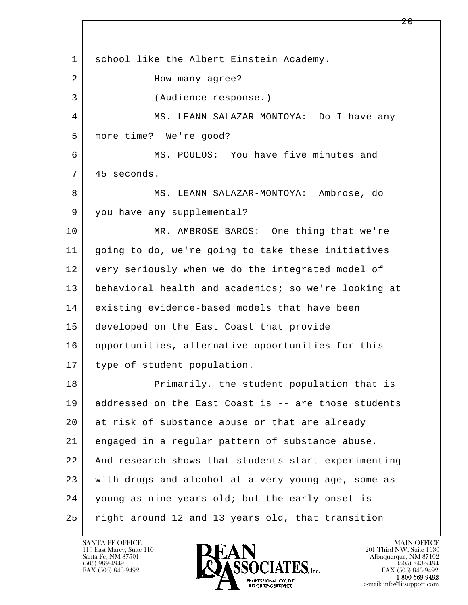l  $\overline{\phantom{a}}$ 1 school like the Albert Einstein Academy. 2 | Mow many agree? 3 (Audience response.) 4 MS. LEANN SALAZAR-MONTOYA: Do I have any 5 more time? We're good? 6 MS. POULOS: You have five minutes and 7 45 seconds. 8 | MS. LEANN SALAZAR-MONTOYA: Ambrose, do 9 you have any supplemental? 10 MR. AMBROSE BAROS: One thing that we're 11 going to do, we're going to take these initiatives 12 very seriously when we do the integrated model of 13 behavioral health and academics; so we're looking at 14 existing evidence-based models that have been 15 developed on the East Coast that provide 16 opportunities, alternative opportunities for this 17 type of student population. 18 Primarily, the student population that is 19 addressed on the East Coast is -- are those students 20 at risk of substance abuse or that are already 21 engaged in a regular pattern of substance abuse. 22 And research shows that students start experimenting 23 with drugs and alcohol at a very young age, some as 24 young as nine years old; but the early onset is 25 right around 12 and 13 years old, that transition

119 East Marcy, Suite 110<br>Santa Fe, NM 87501



FAX (505) 843-9492<br>**1-800-669-9492**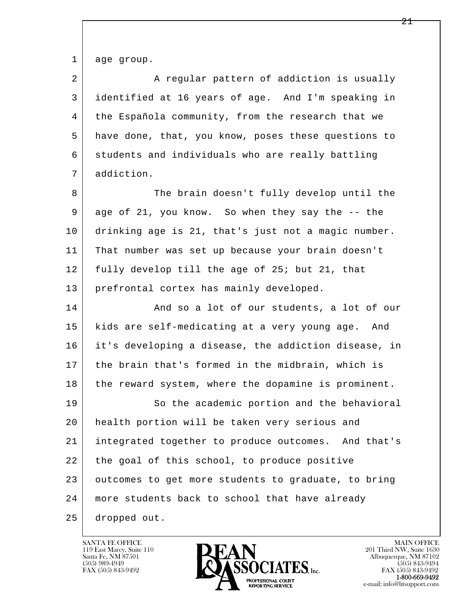1 age group.

| $\overline{a}$ | A regular pattern of addiction is usually            |
|----------------|------------------------------------------------------|
| 3              | identified at 16 years of age. And I'm speaking in   |
| 4              | the Española community, from the research that we    |
| 5              | have done, that, you know, poses these questions to  |
| 6              | students and individuals who are really battling     |
| 7              | addiction.                                           |
| 8              | The brain doesn't fully develop until the            |
| 9              | age of 21, you know. So when they say the -- the     |
| 10             | drinking age is 21, that's just not a magic number.  |
| 11             | That number was set up because your brain doesn't    |
| 12             | fully develop till the age of 25; but 21, that       |
| 13             | prefrontal cortex has mainly developed.              |
| 14             | And so a lot of our students, a lot of our           |
| 15             | kids are self-medicating at a very young age.<br>And |
| 16             | it's developing a disease, the addiction disease, in |
| 17             | the brain that's formed in the midbrain, which is    |
| 18             | the reward system, where the dopamine is prominent.  |
| 19             | So the academic portion and the behavioral           |
| 20             | health portion will be taken very serious and        |
| 21             | integrated together to produce outcomes. And that's  |
| 22             | the goal of this school, to produce positive         |
| 23             | outcomes to get more students to graduate, to bring  |
| 24             | more students back to school that have already       |
| 25             | dropped out.                                         |

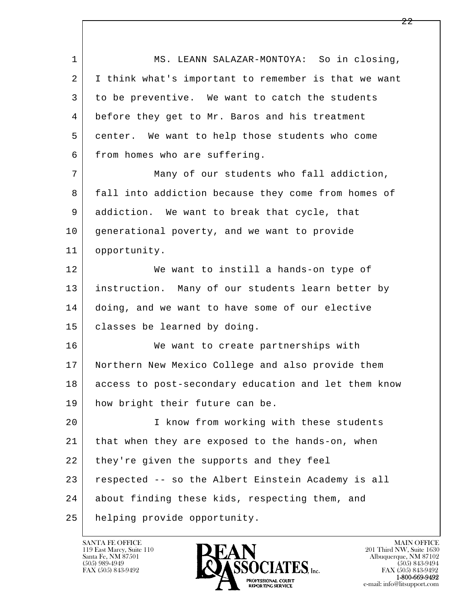l  $\overline{\phantom{a}}$ 1 | MS. LEANN SALAZAR-MONTOYA: So in closing, 2 I think what's important to remember is that we want 3 to be preventive. We want to catch the students 4 before they get to Mr. Baros and his treatment 5 center. We want to help those students who come 6 from homes who are suffering. 7 Many of our students who fall addiction, 8 fall into addiction because they come from homes of 9 addiction. We want to break that cycle, that 10 generational poverty, and we want to provide 11 opportunity. 12 We want to instill a hands-on type of 13 instruction. Many of our students learn better by 14 doing, and we want to have some of our elective 15 classes be learned by doing. 16 We want to create partnerships with 17 Northern New Mexico College and also provide them 18 access to post-secondary education and let them know 19 | how bright their future can be. 20 I know from working with these students 21 that when they are exposed to the hands-on, when 22 they're given the supports and they feel 23 respected -- so the Albert Einstein Academy is all 24 about finding these kids, respecting them, and 25 helping provide opportunity.

119 East Marcy, Suite 110<br>Santa Fe, NM 87501

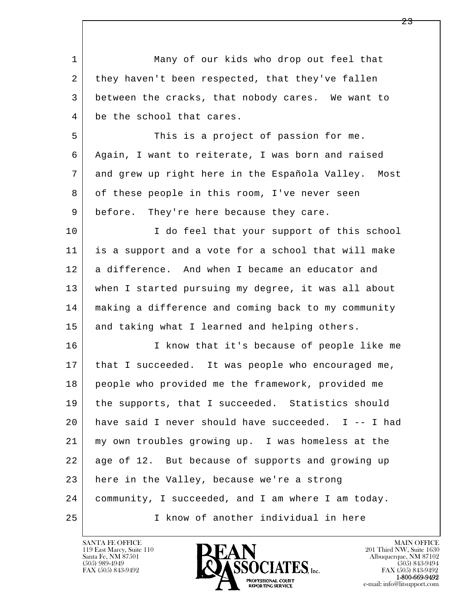| $\mathbf{1}$ | Many of our kids who drop out feel that                |
|--------------|--------------------------------------------------------|
| 2            | they haven't been respected, that they've fallen       |
| 3            | between the cracks, that nobody cares. We want to      |
| 4            | be the school that cares.                              |
| 5            | This is a project of passion for me.                   |
| 6            | Again, I want to reiterate, I was born and raised      |
| 7            | and grew up right here in the Española Valley.<br>Most |
| 8            | of these people in this room, I've never seen          |
| 9            | before. They're here because they care.                |
| 10           | I do feel that your support of this school             |
| 11           | is a support and a vote for a school that will make    |
| 12           | a difference. And when I became an educator and        |
| 13           | when I started pursuing my degree, it was all about    |
| 14           | making a difference and coming back to my community    |
| 15           | and taking what I learned and helping others.          |
| 16           | I know that it's because of people like me             |
| 17           | that I succeeded. It was people who encouraged me,     |
| 18           | people who provided me the framework, provided me      |
| 19           | the supports, that I succeeded. Statistics should      |
| 20           | have said I never should have succeeded. I -- I had    |
| 21           | my own troubles growing up. I was homeless at the      |
| 22           | age of 12. But because of supports and growing up      |
| 23           | here in the Valley, because we're a strong             |
| 24           | community, I succeeded, and I am where I am today.     |
| 25           | I know of another individual in here                   |

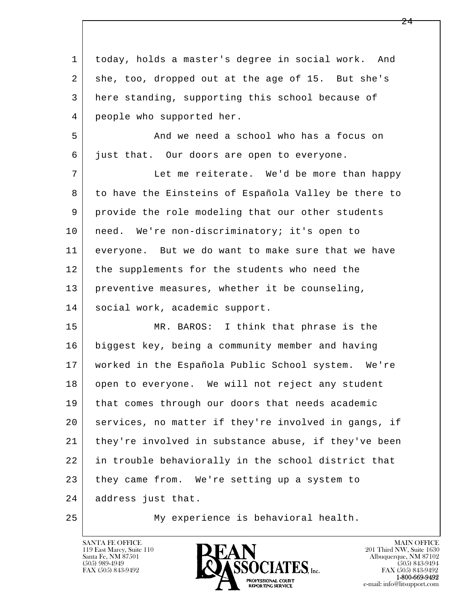l  $\overline{\phantom{a}}$  1 today, holds a master's degree in social work. And 2 she, too, dropped out at the age of 15. But she's 3 here standing, supporting this school because of 4 people who supported her. 5 And we need a school who has a focus on 6 just that. Our doors are open to everyone. 7 Let me reiterate. We'd be more than happy 8 to have the Einsteins of Española Valley be there to 9 provide the role modeling that our other students 10 | need. We're non-discriminatory; it's open to 11 everyone. But we do want to make sure that we have 12 the supplements for the students who need the 13 preventive measures, whether it be counseling, 14 | social work, academic support. 15 MR. BAROS: I think that phrase is the 16 biggest key, being a community member and having 17 worked in the Española Public School system. We're 18 open to everyone. We will not reject any student 19 that comes through our doors that needs academic 20 services, no matter if they're involved in gangs, if 21 | they're involved in substance abuse, if they've been 22 in trouble behaviorally in the school district that 23 they came from. We're setting up a system to 24 address just that.

25 My experience is behavioral health.

119 East Marcy, Suite 110<br>Santa Fe, NM 87501



FAX (505) 843-9492<br>1-800-669-9492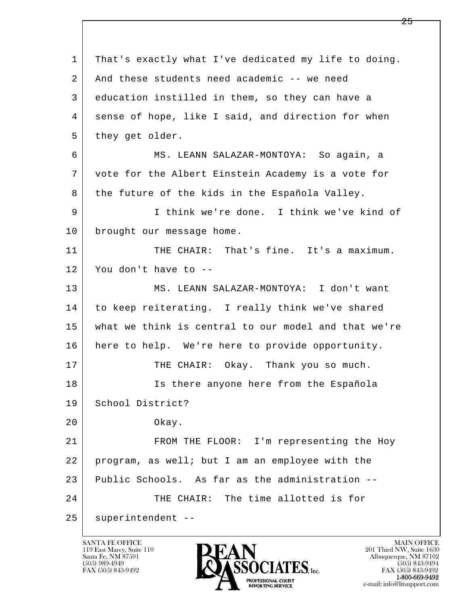l  $\overline{\phantom{a}}$  1 That's exactly what I've dedicated my life to doing. 2 And these students need academic -- we need 3 education instilled in them, so they can have a 4 sense of hope, like I said, and direction for when 5 they get older. 6 MS. LEANN SALAZAR-MONTOYA: So again, a 7 vote for the Albert Einstein Academy is a vote for 8 the future of the kids in the Española Valley. 9 I think we're done. I think we've kind of 10 brought our message home. 11 THE CHAIR: That's fine. It's a maximum. 12 You don't have to -- 13 MS. LEANN SALAZAR-MONTOYA: I don't want 14 to keep reiterating. I really think we've shared 15 what we think is central to our model and that we're 16 here to help. We're here to provide opportunity. 17 THE CHAIR: Okay. Thank you so much. 18 Is there anyone here from the Española 19 School District? 20 Okay. 21 | FROM THE FLOOR: I'm representing the Hoy 22 program, as well; but I am an employee with the 23 Public Schools. As far as the administration -- 24 THE CHAIR: The time allotted is for 25 superintendent --

119 East Marcy, Suite 110<br>Santa Fe, NM 87501



FAX (505) 843-9492<br>**1-800-669-9492**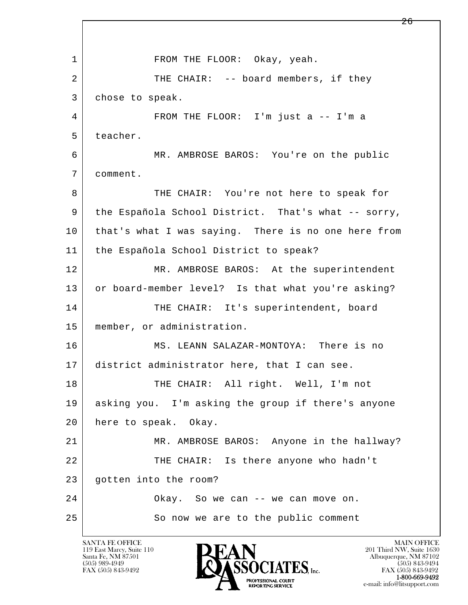l  $\overline{\phantom{a}}$ 1 FROM THE FLOOR: Okay, yeah. 2 THE CHAIR: -- board members, if they 3 chose to speak. 4 FROM THE FLOOR: I'm just a -- I'm a 5 teacher. 6 MR. AMBROSE BAROS: You're on the public 7 comment. 8 THE CHAIR: You're not here to speak for 9 the Española School District. That's what -- sorry, 10 that's what I was saying. There is no one here from 11 the Española School District to speak? 12 MR. AMBROSE BAROS: At the superintendent 13 or board-member level? Is that what you're asking? 14 THE CHAIR: It's superintendent, board 15 member, or administration. 16 MS. LEANN SALAZAR-MONTOYA: There is no 17 district administrator here, that I can see. 18 THE CHAIR: All right. Well, I'm not 19 asking you. I'm asking the group if there's anyone 20 here to speak. Okay. 21 MR. AMBROSE BAROS: Anyone in the hallway? 22 THE CHAIR: Is there anyone who hadn't 23 | gotten into the room? 24 | Chay. So we can -- we can move on. 25 So now we are to the public comment

119 East Marcy, Suite 110<br>Santa Fe, NM 87501

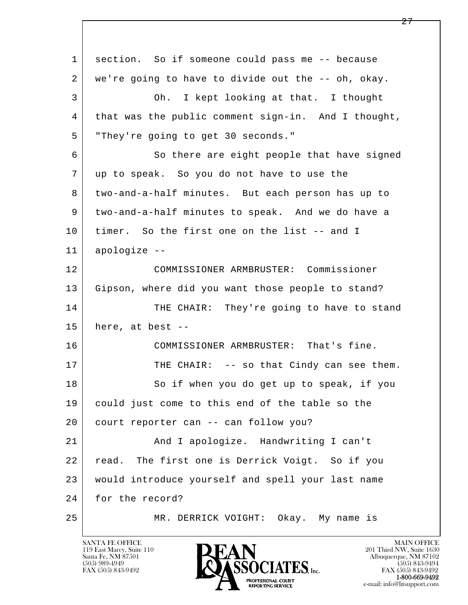l  $\overline{\phantom{a}}$  1 section. So if someone could pass me -- because 2 we're going to have to divide out the -- oh, okay. 3 Oh. I kept looking at that. I thought 4 that was the public comment sign-in. And I thought, 5 | "They're going to get 30 seconds." 6 So there are eight people that have signed 7 up to speak. So you do not have to use the 8 two-and-a-half minutes. But each person has up to 9 two-and-a-half minutes to speak. And we do have a 10 timer. So the first one on the list -- and I 11 apologize -- 12 COMMISSIONER ARMBRUSTER: Commissioner 13 Gipson, where did you want those people to stand? 14 THE CHAIR: They're going to have to stand  $15$  here, at best -- 16 COMMISSIONER ARMBRUSTER: That's fine. 17 | THE CHAIR: -- so that Cindy can see them. 18 | So if when you do get up to speak, if you 19 could just come to this end of the table so the 20 court reporter can -- can follow you? 21 And I apologize. Handwriting I can't 22 | read. The first one is Derrick Voigt. So if you 23 would introduce yourself and spell your last name 24 for the record? 25 MR. DERRICK VOIGHT: Okay. My name is

119 East Marcy, Suite 110<br>Santa Fe, NM 87501

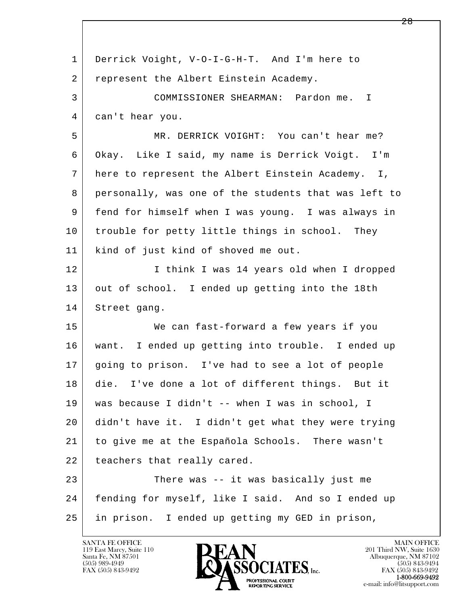l  $\overline{\phantom{a}}$  1 Derrick Voight, V-O-I-G-H-T. And I'm here to 2 represent the Albert Einstein Academy. 3 COMMISSIONER SHEARMAN: Pardon me. I 4 can't hear you. 5 MR. DERRICK VOIGHT: You can't hear me? 6 Okay. Like I said, my name is Derrick Voigt. I'm 7 here to represent the Albert Einstein Academy. I, 8 personally, was one of the students that was left to 9 fend for himself when I was young. I was always in 10 trouble for petty little things in school. They 11 kind of just kind of shoved me out. 12 I think I was 14 years old when I dropped 13 out of school. I ended up getting into the 18th 14 Street gang. 15 We can fast-forward a few years if you 16 want. I ended up getting into trouble. I ended up 17 going to prison. I've had to see a lot of people 18 die. I've done a lot of different things. But it 19 was because I didn't -- when I was in school, I 20 didn't have it. I didn't get what they were trying 21 to give me at the Española Schools. There wasn't 22 teachers that really cared. 23 There was -- it was basically just me 24 fending for myself, like I said. And so I ended up 25 in prison. I ended up getting my GED in prison,

119 East Marcy, Suite 110<br>Santa Fe, NM 87501

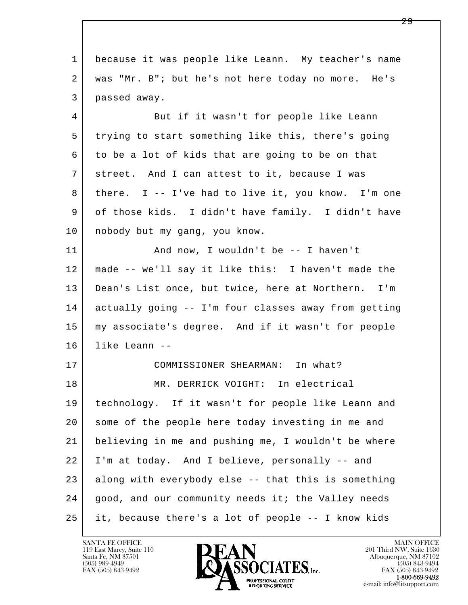l  $\overline{\phantom{a}}$  1 because it was people like Leann. My teacher's name 2 was "Mr. B"; but he's not here today no more. He's 3 passed away. 4 But if it wasn't for people like Leann 5 trying to start something like this, there's going 6 to be a lot of kids that are going to be on that 7 street. And I can attest to it, because I was 8 | there. I  $-$  I've had to live it, you know. I'm one 9 of those kids. I didn't have family. I didn't have 10 | nobody but my gang, you know. 11 | And now, I wouldn't be -- I haven't 12 made -- we'll say it like this: I haven't made the 13 Dean's List once, but twice, here at Northern. I'm 14 actually going -- I'm four classes away from getting 15 my associate's degree. And if it wasn't for people 16 like Leann -- 17 COMMISSIONER SHEARMAN: In what? 18 MR. DERRICK VOIGHT: In electrical 19 technology. If it wasn't for people like Leann and 20 some of the people here today investing in me and 21 believing in me and pushing me, I wouldn't be where 22 I'm at today. And I believe, personally -- and 23 along with everybody else -- that this is something 24 | good, and our community needs it; the Valley needs 25 it, because there's a lot of people -- I know kids

119 East Marcy, Suite 110<br>Santa Fe, NM 87501



FAX (505) 843-9492<br>1-800-669-9492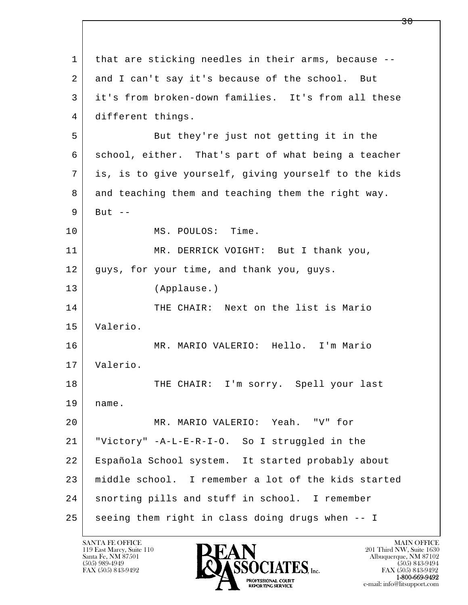l  $\overline{\phantom{a}}$ 1 that are sticking needles in their arms, because --2 and I can't say it's because of the school. But 3 it's from broken-down families. It's from all these 4 different things. 5 But they're just not getting it in the 6 school, either. That's part of what being a teacher 7 is, is to give yourself, giving yourself to the kids 8 and teaching them and teaching them the right way.  $9$  But  $-$ 10 MS. POULOS: Time. 11 | MR. DERRICK VOIGHT: But I thank you, 12 | guys, for your time, and thank you, guys. 13 (Applause.) 14 THE CHAIR: Next on the list is Mario 15 Valerio. 16 MR. MARIO VALERIO: Hello. I'm Mario 17 Valerio. 18 THE CHAIR: I'm sorry. Spell your last 19 name. 20 MR. MARIO VALERIO: Yeah. "V" for 21 "Victory" -A-L-E-R-I-O. So I struggled in the 22 Española School system. It started probably about 23 middle school. I remember a lot of the kids started 24 | snorting pills and stuff in school. I remember  $25$  seeing them right in class doing drugs when  $-$ - I

119 East Marcy, Suite 110<br>Santa Fe, NM 87501

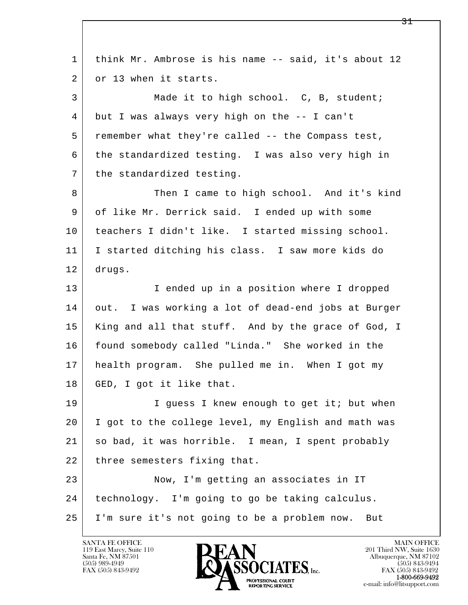l  $\overline{\phantom{a}}$  1 think Mr. Ambrose is his name -- said, it's about 12 2 or 13 when it starts. 3 Made it to high school. C, B, student; 4 but I was always very high on the -- I can't  $5$  remember what they're called -- the Compass test, 6 the standardized testing. I was also very high in 7 the standardized testing. 8 Then I came to high school. And it's kind 9 of like Mr. Derrick said. I ended up with some 10 teachers I didn't like. I started missing school. 11 I started ditching his class. I saw more kids do 12 drugs. 13 I ended up in a position where I dropped 14 out. I was working a lot of dead-end jobs at Burger 15 | King and all that stuff. And by the grace of God, I 16 found somebody called "Linda." She worked in the 17 health program. She pulled me in. When I got my 18 GED, I got it like that. 19 I guess I knew enough to get it; but when 20 I got to the college level, my English and math was 21 so bad, it was horrible. I mean, I spent probably 22 three semesters fixing that. 23 Now, I'm getting an associates in IT 24 technology. I'm going to go be taking calculus. 25 I'm sure it's not going to be a problem now. But

119 East Marcy, Suite 110<br>Santa Fe, NM 87501

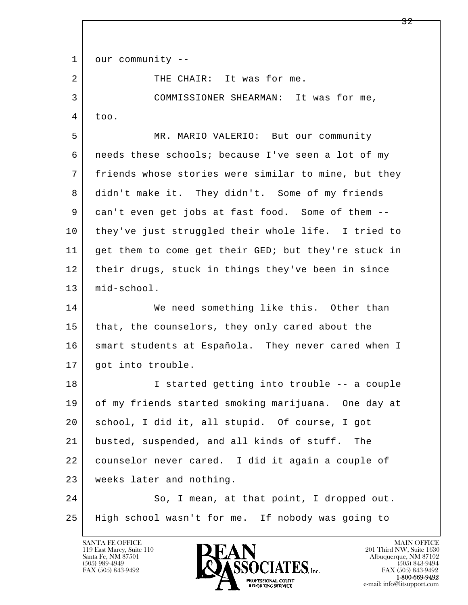l  $\overline{\phantom{a}}$ 1 our community --2 THE CHAIR: It was for me. 3 COMMISSIONER SHEARMAN: It was for me,  $4$  too. 5 MR. MARIO VALERIO: But our community 6 needs these schools; because I've seen a lot of my 7 friends whose stories were similar to mine, but they 8 didn't make it. They didn't. Some of my friends 9 can't even get jobs at fast food. Some of them -- 10 they've just struggled their whole life. I tried to 11 get them to come get their GED; but they're stuck in 12 their drugs, stuck in things they've been in since 13 mid-school. 14 We need something like this. Other than 15 that, the counselors, they only cared about the 16 smart students at Española. They never cared when I 17 | got into trouble. 18 I started getting into trouble -- a couple 19 of my friends started smoking marijuana. One day at 20 school, I did it, all stupid. Of course, I got 21 busted, suspended, and all kinds of stuff. The 22 counselor never cared. I did it again a couple of 23 weeks later and nothing. 24 So, I mean, at that point, I dropped out. 25 High school wasn't for me. If nobody was going to

119 East Marcy, Suite 110<br>Santa Fe, NM 87501

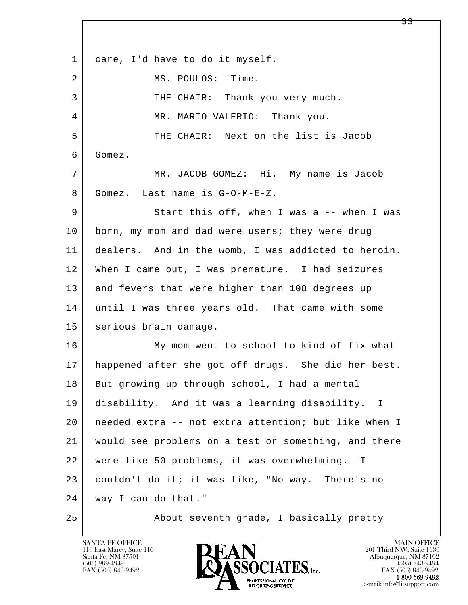l  $\overline{\phantom{a}}$ 1 care, I'd have to do it myself. 2 MS. POULOS: Time. 3 THE CHAIR: Thank you very much. 4 MR. MARIO VALERIO: Thank you. 5 THE CHAIR: Next on the list is Jacob 6 Gomez. 7 MR. JACOB GOMEZ: Hi. My name is Jacob 8 Gomez. Last name is G-O-M-E-Z. 9 Start this off, when I was a -- when I was 10 born, my mom and dad were users; they were drug 11 dealers. And in the womb, I was addicted to heroin. 12 When I came out, I was premature. I had seizures 13 and fevers that were higher than 108 degrees up 14 until I was three years old. That came with some 15 | serious brain damage. 16 My mom went to school to kind of fix what 17 happened after she got off drugs. She did her best. 18 But growing up through school, I had a mental 19 disability. And it was a learning disability. I 20 needed extra -- not extra attention; but like when I 21 would see problems on a test or something, and there 22 were like 50 problems, it was overwhelming. I 23 couldn't do it; it was like, "No way. There's no 24 way I can do that." 25 | Rhout seventh grade, I basically pretty

119 East Marcy, Suite 110<br>Santa Fe, NM 87501

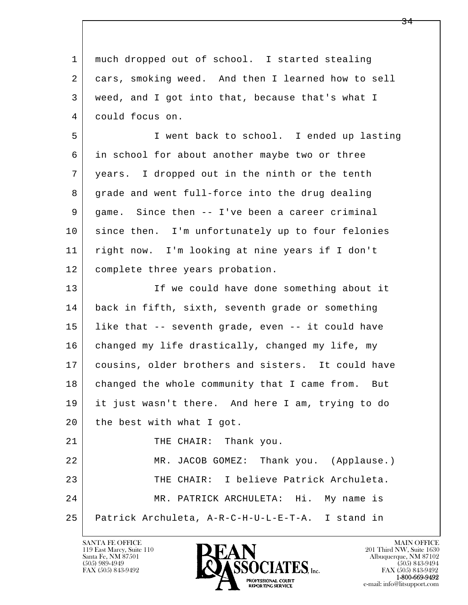l  $\overline{\phantom{a}}$  1 much dropped out of school. I started stealing 2 cars, smoking weed. And then I learned how to sell 3 weed, and I got into that, because that's what I 4 could focus on. 5 I went back to school. I ended up lasting 6 in school for about another maybe two or three 7 years. I dropped out in the ninth or the tenth 8 grade and went full-force into the drug dealing 9 game. Since then -- I've been a career criminal 10 since then. I'm unfortunately up to four felonies 11 right now. I'm looking at nine years if I don't 12 complete three years probation. 13 If we could have done something about it 14 back in fifth, sixth, seventh grade or something 15 like that -- seventh grade, even -- it could have 16 | changed my life drastically, changed my life, my 17 cousins, older brothers and sisters. It could have 18 | changed the whole community that I came from. But 19 it just wasn't there. And here I am, trying to do 20 the best with what I got. 21 | THE CHAIR: Thank you. 22 MR. JACOB GOMEZ: Thank you. (Applause.) 23 | THE CHAIR: I believe Patrick Archuleta. 24 MR. PATRICK ARCHULETA: Hi. My name is 25 Patrick Archuleta, A-R-C-H-U-L-E-T-A. I stand in

119 East Marcy, Suite 110<br>Santa Fe, NM 87501

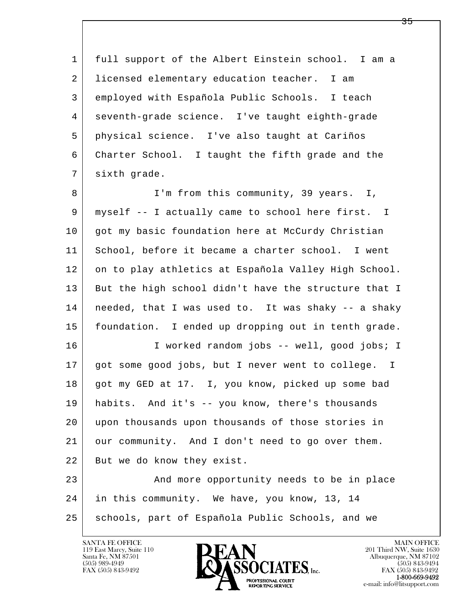l  $\overline{\phantom{a}}$  1 full support of the Albert Einstein school. I am a 2 | licensed elementary education teacher. I am 3 employed with Española Public Schools. I teach 4 seventh-grade science. I've taught eighth-grade 5 physical science. I've also taught at Cariños 6 Charter School. I taught the fifth grade and the 7 sixth grade. 8 | I'm from this community, 39 years. I, 9 myself -- I actually came to school here first. I 10 | got my basic foundation here at McCurdy Christian 11 School, before it became a charter school. I went 12 on to play athletics at Española Valley High School. 13 But the high school didn't have the structure that I 14 needed, that I was used to. It was shaky -- a shaky 15 foundation. I ended up dropping out in tenth grade. 16 I worked random jobs -- well, good jobs; I 17 | got some good jobs, but I never went to college. I 18 | got my GED at 17. I, you know, picked up some bad 19 habits. And it's -- you know, there's thousands 20 upon thousands upon thousands of those stories in 21 our community. And I don't need to go over them. 22 But we do know they exist. 23 | And more opportunity needs to be in place 24 in this community. We have, you know, 13, 14 25 schools, part of Española Public Schools, and we



FAX (505) 843-9492<br>**1-800-669-9492**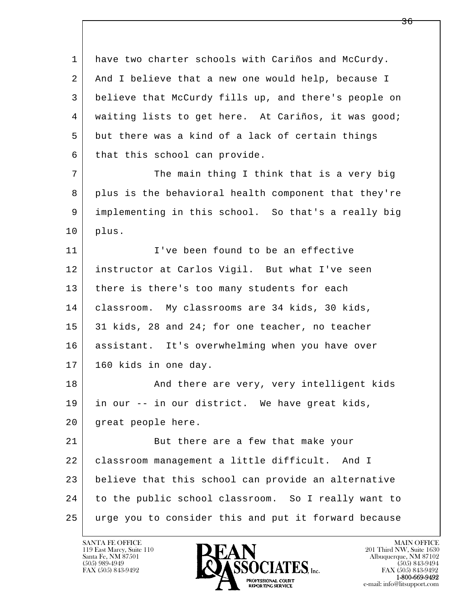1 have two charter schools with Cariños and McCurdy. 2 And I believe that a new one would help, because I 3 believe that McCurdy fills up, and there's people on 4 | waiting lists to get here. At Cariños, it was good; 5 but there was a kind of a lack of certain things 6 that this school can provide.

7 The main thing I think that is a very big 8 plus is the behavioral health component that they're 9 implementing in this school. So that's a really big 10 plus.

 11 I've been found to be an effective 12 instructor at Carlos Vigil. But what I've seen 13 | there is there's too many students for each 14 | classroom. My classrooms are 34 kids, 30 kids, 15 31 kids, 28 and 24; for one teacher, no teacher 16 assistant. It's overwhelming when you have over  $17$  160 kids in one day.

18 | The Mand there are very, very intelligent kids 19 in our -- in our district. We have great kids, 20 | great people here.

l  $\overline{\phantom{a}}$ 21 But there are a few that make your 22 classroom management a little difficult. And I 23 believe that this school can provide an alternative 24 to the public school classroom. So I really want to 25 urge you to consider this and put it forward because

119 East Marcy, Suite 110<br>Santa Fe, NM 87501

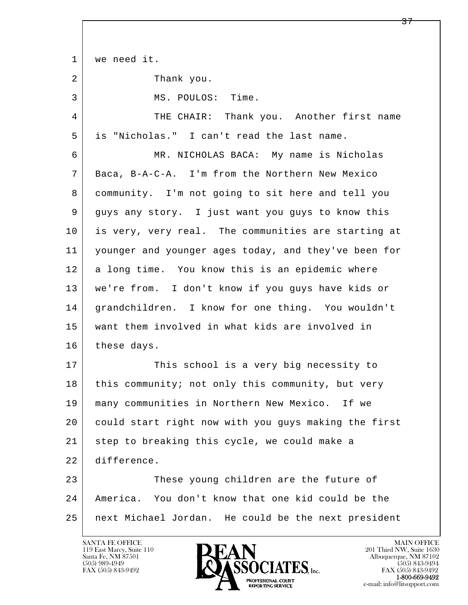l  $\overline{\phantom{a}}$  1 we need it. 2 Thank you. 3 MS. POULOS: Time. 4 THE CHAIR: Thank you. Another first name 5 is "Nicholas." I can't read the last name. 6 MR. NICHOLAS BACA: My name is Nicholas 7 Baca, B-A-C-A. I'm from the Northern New Mexico 8 community. I'm not going to sit here and tell you 9 guys any story. I just want you guys to know this 10 is very, very real. The communities are starting at 11 younger and younger ages today, and they've been for 12 a long time. You know this is an epidemic where 13 we're from. I don't know if you guys have kids or 14 | grandchildren. I know for one thing. You wouldn't 15 want them involved in what kids are involved in 16 these days. 17 This school is a very big necessity to 18 | this community; not only this community, but very 19 many communities in Northern New Mexico. If we 20 could start right now with you guys making the first 21 step to breaking this cycle, we could make a 22 difference. 23 These young children are the future of 24 America. You don't know that one kid could be the 25 next Michael Jordan. He could be the next president

119 East Marcy, Suite 110<br>Santa Fe, NM 87501

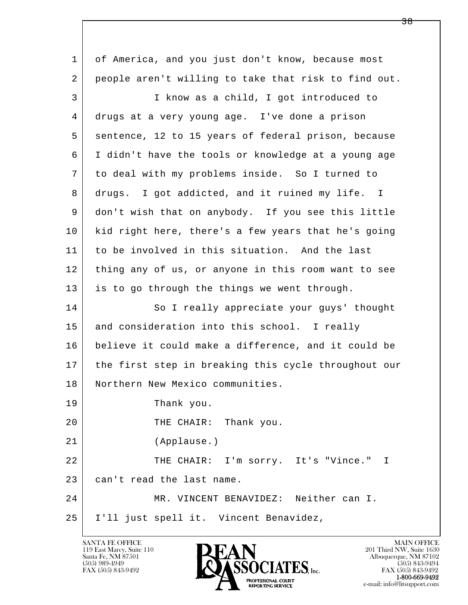| $\mathbf{1}$ | of America, and you just don't know, because most    |
|--------------|------------------------------------------------------|
| 2            | people aren't willing to take that risk to find out. |
| 3            | I know as a child, I got introduced to               |
| 4            | drugs at a very young age. I've done a prison        |
| 5            | sentence, 12 to 15 years of federal prison, because  |
| 6            | I didn't have the tools or knowledge at a young age  |
| 7            | to deal with my problems inside. So I turned to      |
| 8            | drugs. I got addicted, and it ruined my life. I      |
| 9            | don't wish that on anybody. If you see this little   |
| 10           | kid right here, there's a few years that he's going  |
| 11           | to be involved in this situation. And the last       |
| 12           | thing any of us, or anyone in this room want to see  |
| 13           | is to go through the things we went through.         |
| 14           | So I really appreciate your guys' thought            |
| 15           | and consideration into this school. I really         |
| 16           | believe it could make a difference, and it could be  |
| 17           | the first step in breaking this cycle throughout our |
| 18           | Northern New Mexico communities.                     |
| 19           | Thank you.                                           |
| 20           | THE CHAIR: Thank you.                                |
| 21           | (Applause.)                                          |
| 22           | THE CHAIR: I'm sorry. It's "Vince." I                |
| 23           | can't read the last name.                            |
| 24           | MR. VINCENT BENAVIDEZ: Neither can I.                |
| 25           | I'll just spell it. Vincent Benavidez,               |
|              |                                                      |

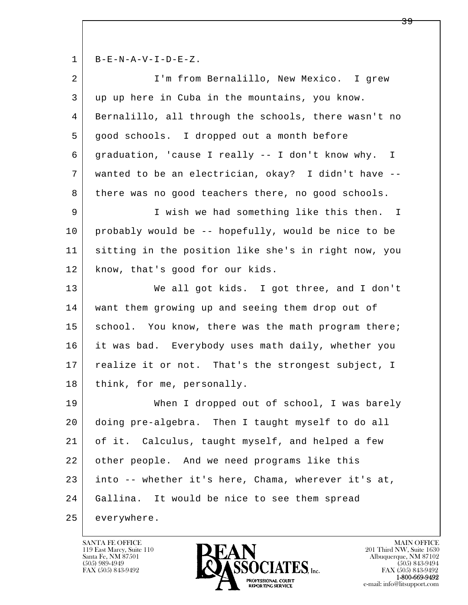l  $\overline{\phantom{a}}$  $1$  B-E-N-A-V-I-D-E-Z. 2 I'm from Bernalillo, New Mexico. I grew 3 up up here in Cuba in the mountains, you know. 4 Bernalillo, all through the schools, there wasn't no 5 good schools. I dropped out a month before 6 graduation, 'cause I really -- I don't know why. I 7 wanted to be an electrician, okay? I didn't have -- 8 | there was no good teachers there, no good schools. 9 I wish we had something like this then. I 10 probably would be -- hopefully, would be nice to be 11 sitting in the position like she's in right now, you 12 know, that's good for our kids. 13 We all got kids. I got three, and I don't 14 want them growing up and seeing them drop out of 15 | school. You know, there was the math program there; 16 it was bad. Everybody uses math daily, whether you 17 | realize it or not. That's the strongest subject, I 18 | think, for me, personally. 19 When I dropped out of school, I was barely 20 doing pre-algebra. Then I taught myself to do all 21 of it. Calculus, taught myself, and helped a few 22 other people. And we need programs like this 23 into -- whether it's here, Chama, wherever it's at, 24 Gallina. It would be nice to see them spread 25 everywhere.



FAX (505) 843-9492<br>**1-800-669-9492**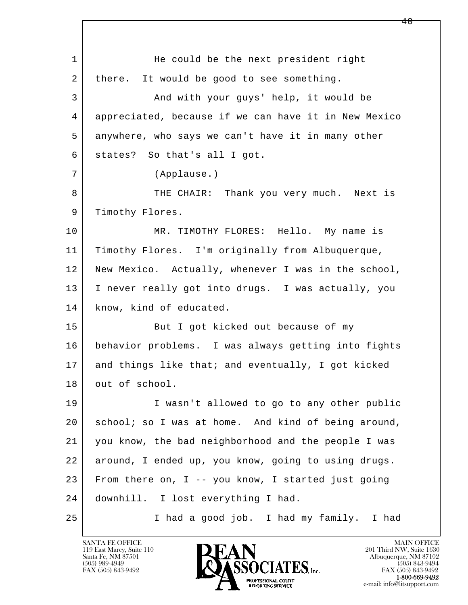l  $\overline{\phantom{a}}$ 1 He could be the next president right 2 | there. It would be good to see something. 3 And with your guys' help, it would be 4 appreciated, because if we can have it in New Mexico 5 anywhere, who says we can't have it in many other 6 states? So that's all I got. 7 (Applause.) 8 THE CHAIR: Thank you very much. Next is 9 Timothy Flores. 10 MR. TIMOTHY FLORES: Hello. My name is 11 Timothy Flores. I'm originally from Albuquerque, 12 New Mexico. Actually, whenever I was in the school, 13 I never really got into drugs. I was actually, you 14 | know, kind of educated. 15 | But I got kicked out because of my 16 behavior problems. I was always getting into fights 17 and things like that; and eventually, I got kicked 18 out of school. 19 | I wasn't allowed to go to any other public 20 | school; so I was at home. And kind of being around, 21 you know, the bad neighborhood and the people I was 22 around, I ended up, you know, going to using drugs. 23 From there on, I -- you know, I started just going 24 downhill. I lost everything I had. 25 I had a good job. I had my family. I had

119 East Marcy, Suite 110<br>Santa Fe, NM 87501

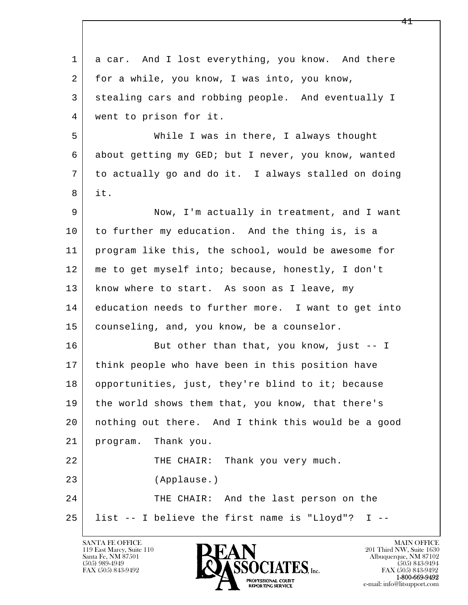| $\mathbf{1}$ | a car. And I lost everything, you know. And there   |
|--------------|-----------------------------------------------------|
| 2            | for a while, you know, I was into, you know,        |
| 3            | stealing cars and robbing people. And eventually I  |
| 4            | went to prison for it.                              |
| 5            | While I was in there, I always thought              |
| 6            | about getting my GED; but I never, you know, wanted |
| 7            | to actually go and do it. I always stalled on doing |
| 8            | it.                                                 |
| 9            | Now, I'm actually in treatment, and I want          |
| 10           | to further my education. And the thing is, is a     |
| 11           | program like this, the school, would be awesome for |
| 12           | me to get myself into; because, honestly, I don't   |
| 13           | know where to start. As soon as I leave, my         |
| 14           | education needs to further more. I want to get into |
| 15           | counseling, and, you know, be a counselor.          |
| 16           | But other than that, you know, just -- I            |
| 17           | think people who have been in this position have    |
| 18           | opportunities, just, they're blind to it; because   |
| 19           | the world shows them that, you know, that there's   |
| 20           | nothing out there. And I think this would be a good |
| 21           | Thank you.<br>program.                              |
| 22           | THE CHAIR: Thank you very much.                     |
| 23           | (Applause.)                                         |
| 24           | THE CHAIR: And the last person on the               |
| 25           | list -- I believe the first name is "Lloyd"? I --   |

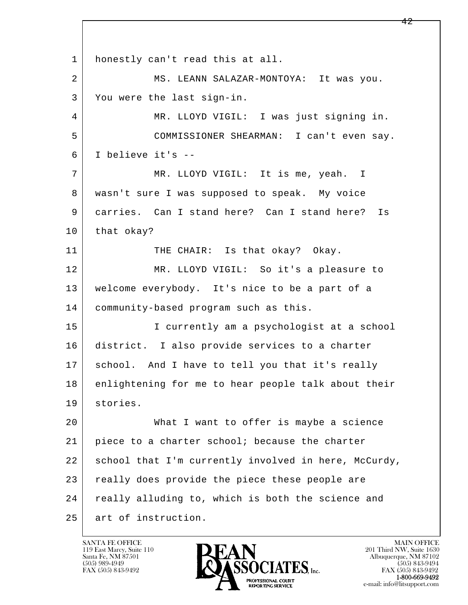l  $\overline{\phantom{a}}$ 1 | honestly can't read this at all. 2 MS. LEANN SALAZAR-MONTOYA: It was you. 3 You were the last sign-in. 4 MR. LLOYD VIGIL: I was just signing in. 5 COMMISSIONER SHEARMAN: I can't even say. 6 I believe it's -- 7 MR. LLOYD VIGIL: It is me, yeah. I 8 wasn't sure I was supposed to speak. My voice 9 carries. Can I stand here? Can I stand here? Is 10 that okay? 11 THE CHAIR: Is that okay? Okay. 12 MR. LLOYD VIGIL: So it's a pleasure to 13 welcome everybody. It's nice to be a part of a 14 community-based program such as this. 15 I currently am a psychologist at a school 16 district. I also provide services to a charter 17 | school. And I have to tell you that it's really 18 | enlightening for me to hear people talk about their 19 stories. 20 What I want to offer is maybe a science 21 piece to a charter school; because the charter 22 school that I'm currently involved in here, McCurdy, 23 really does provide the piece these people are 24 | really alluding to, which is both the science and 25 art of instruction.

119 East Marcy, Suite 110<br>Santa Fe, NM 87501

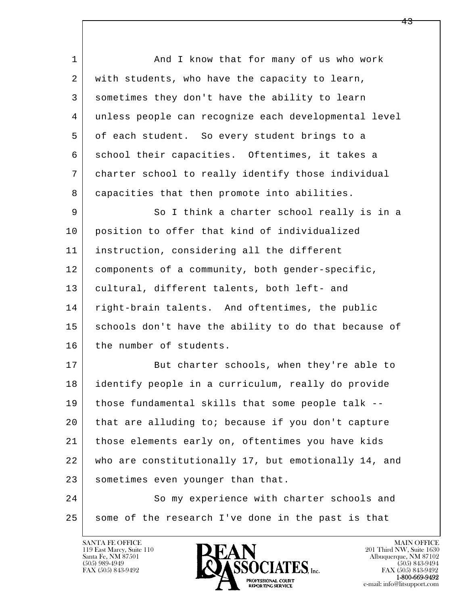l  $\overline{\phantom{a}}$ 1 and I know that for many of us who work 2 with students, who have the capacity to learn, 3 sometimes they don't have the ability to learn 4 unless people can recognize each developmental level 5 of each student. So every student brings to a 6 school their capacities. Oftentimes, it takes a 7 charter school to really identify those individual 8 capacities that then promote into abilities. 9 So I think a charter school really is in a 10 position to offer that kind of individualized 11 instruction, considering all the different 12 components of a community, both gender-specific, 13 cultural, different talents, both left- and 14 right-brain talents. And oftentimes, the public 15 | schools don't have the ability to do that because of 16 the number of students. 17 But charter schools, when they're able to 18 identify people in a curriculum, really do provide 19 those fundamental skills that some people talk -- 20 that are alluding to; because if you don't capture 21 those elements early on, oftentimes you have kids 22 who are constitutionally 17, but emotionally 14, and 23 sometimes even younger than that. 24 So my experience with charter schools and 25 some of the research I've done in the past is that

119 East Marcy, Suite 110<br>Santa Fe, NM 87501

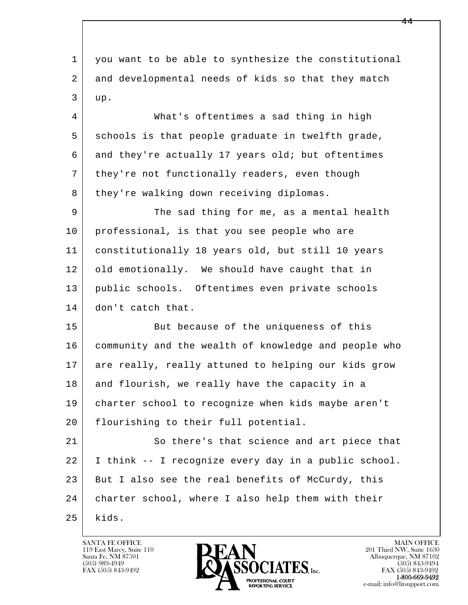l  $\overline{\phantom{a}}$  1 you want to be able to synthesize the constitutional 2 and developmental needs of kids so that they match  $3 | up.$  4 What's oftentimes a sad thing in high 5 schools is that people graduate in twelfth grade, 6 and they're actually 17 years old; but oftentimes 7 they're not functionally readers, even though 8 they're walking down receiving diplomas. 9 The sad thing for me, as a mental health 10 professional, is that you see people who are 11 constitutionally 18 years old, but still 10 years 12 old emotionally. We should have caught that in 13 public schools. Oftentimes even private schools 14 don't catch that. 15 But because of the uniqueness of this 16 community and the wealth of knowledge and people who 17 are really, really attuned to helping our kids grow 18 and flourish, we really have the capacity in a 19 charter school to recognize when kids maybe aren't 20 flourishing to their full potential. 21 So there's that science and art piece that 22 I think -- I recognize every day in a public school. 23 But I also see the real benefits of McCurdy, this 24 charter school, where I also help them with their  $25$  kids.

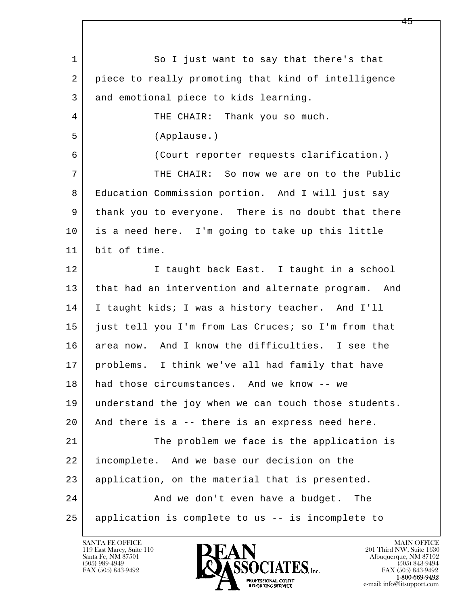l  $\overline{\phantom{a}}$ 1 So I just want to say that there's that 2 piece to really promoting that kind of intelligence 3 and emotional piece to kids learning. 4 | THE CHAIR: Thank you so much. 5 (Applause.) 6 (Court reporter requests clarification.) 7 THE CHAIR: So now we are on to the Public 8 Education Commission portion. And I will just say 9 thank you to everyone. There is no doubt that there 10 is a need here. I'm going to take up this little 11 bit of time. 12 I taught back East. I taught in a school 13 that had an intervention and alternate program. And 14 I taught kids; I was a history teacher. And I'll 15 just tell you I'm from Las Cruces; so I'm from that 16 area now. And I know the difficulties. I see the 17 problems. I think we've all had family that have 18 had those circumstances. And we know -- we 19 understand the joy when we can touch those students. 20 And there is a -- there is an express need here. 21 The problem we face is the application is 22 incomplete. And we base our decision on the 23 | application, on the material that is presented. 24 And we don't even have a budget. The 25 application is complete to us -- is incomplete to

119 East Marcy, Suite 110<br>Santa Fe, NM 87501

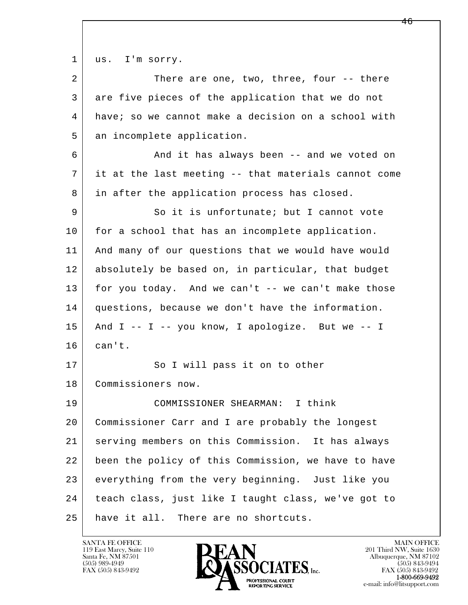1 | us. I'm sorry.

| $\overline{a}$ | There are one, two, three, four -- there             |
|----------------|------------------------------------------------------|
|                |                                                      |
| 3              | are five pieces of the application that we do not    |
| 4              | have; so we cannot make a decision on a school with  |
| 5              | an incomplete application.                           |
| 6              | And it has always been -- and we voted on            |
| 7              | it at the last meeting -- that materials cannot come |
| 8              | in after the application process has closed.         |
| 9              | So it is unfortunate; but I cannot vote              |
| 10             | for a school that has an incomplete application.     |
| 11             | And many of our questions that we would have would   |
| 12             | absolutely be based on, in particular, that budget   |
| 13             | for you today. And we can't -- we can't make those   |
| 14             | questions, because we don't have the information.    |
| 15             | And $I$ -- $I$ -- you know, I apologize. But we -- I |
| 16             | can't.                                               |
| 17             | So I will pass it on to other                        |
| 18             | Commissioners now.                                   |
| 19             | I think<br>COMMISSIONER SHEARMAN:                    |
| 20             | Commissioner Carr and I are probably the longest     |
| 21             | serving members on this Commission. It has always    |
| 22             | been the policy of this Commission, we have to have  |
| 23             | everything from the very beginning. Just like you    |
| 24             | teach class, just like I taught class, we've got to  |
| 25             | have it all. There are no shortcuts.                 |

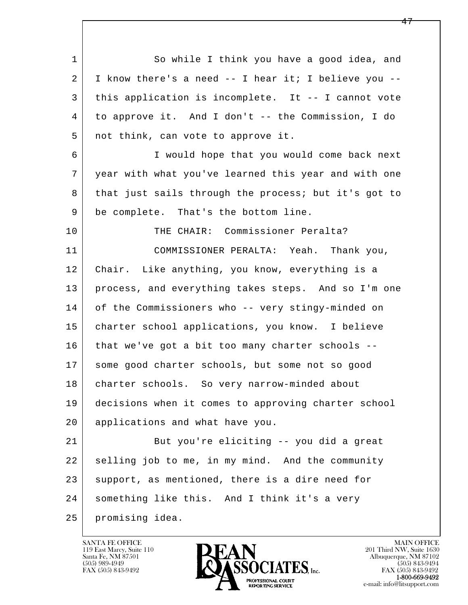l  $\overline{\phantom{a}}$ 1 So while I think you have a good idea, and  $2$  | I know there's a need  $-$  I hear it; I believe you  $-$  3 this application is incomplete. It -- I cannot vote 4 to approve it. And I don't -- the Commission, I do 5 | not think, can vote to approve it. 6 I would hope that you would come back next 7 year with what you've learned this year and with one 8 | that just sails through the process; but it's got to 9 be complete. That's the bottom line. 10 THE CHAIR: Commissioner Peralta? 11 COMMISSIONER PERALTA: Yeah. Thank you, 12 Chair. Like anything, you know, everything is a 13 process, and everything takes steps. And so I'm one 14 of the Commissioners who -- very stingy-minded on 15 charter school applications, you know. I believe 16 that we've got a bit too many charter schools -- 17 some good charter schools, but some not so good 18 | charter schools. So very narrow-minded about 19 decisions when it comes to approving charter school 20 applications and what have you. 21 But you're eliciting -- you did a great 22 selling job to me, in my mind. And the community 23 support, as mentioned, there is a dire need for 24 something like this. And I think it's a very 25 promising idea.

119 East Marcy, Suite 110<br>Santa Fe, NM 87501



FAX (505) 843-9492<br>**1-800-669-9492**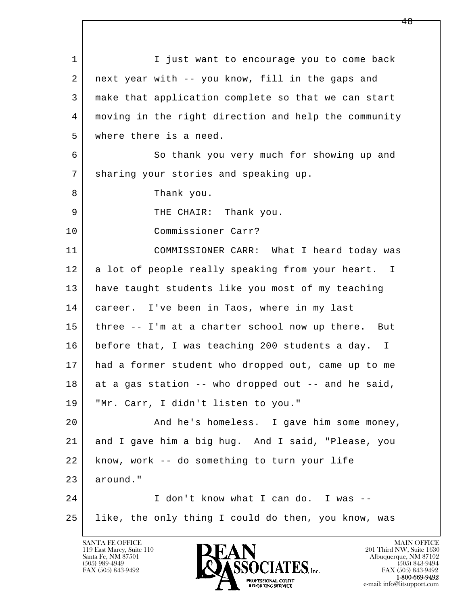l  $\overline{\phantom{a}}$ 1 I just want to encourage you to come back 2 next year with -- you know, fill in the gaps and 3 make that application complete so that we can start 4 moving in the right direction and help the community 5 where there is a need. 6 So thank you very much for showing up and 7 | sharing your stories and speaking up. 8 | Thank you. 9 | THE CHAIR: Thank you. 10 Commissioner Carr? 11 COMMISSIONER CARR: What I heard today was 12 a lot of people really speaking from your heart. I 13 have taught students like you most of my teaching 14 career. I've been in Taos, where in my last 15 three -- I'm at a charter school now up there. But 16 before that, I was teaching 200 students a day. I 17 had a former student who dropped out, came up to me  $18$  at a gas station  $-$ - who dropped out  $-$ - and he said, 19 "Mr. Carr, I didn't listen to you." 20 And he's homeless. I gave him some money, 21 and I gave him a big hug. And I said, "Please, you 22 know, work -- do something to turn your life 23 around." 24 I don't know what I can do. I was -- 25 like, the only thing I could do then, you know, was

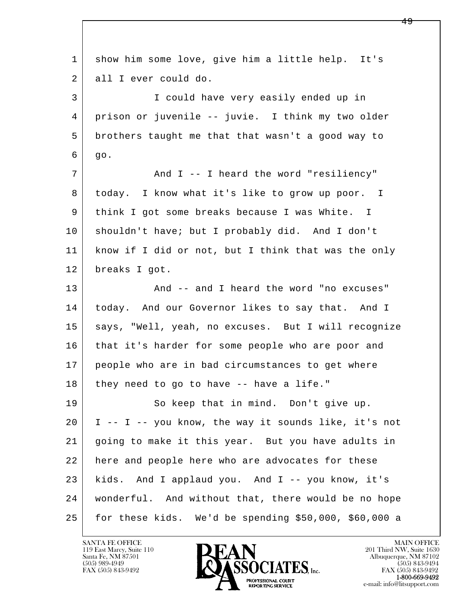| 1  | show him some love, give him a little help. It's         |
|----|----------------------------------------------------------|
| 2  | all I ever could do.                                     |
| 3  | I could have very easily ended up in                     |
| 4  | prison or juvenile -- juvie. I think my two older        |
| 5  | brothers taught me that that wasn't a good way to        |
| 6  | go.                                                      |
| 7  | And I -- I heard the word "resiliency"                   |
| 8  | today. I know what it's like to grow up poor. I          |
| 9  | think I got some breaks because I was White. I           |
| 10 | shouldn't have; but I probably did. And I don't          |
| 11 | know if I did or not, but I think that was the only      |
| 12 | breaks I got.                                            |
| 13 | And -- and I heard the word "no excuses"                 |
| 14 | today. And our Governor likes to say that. And I         |
| 15 | says, "Well, yeah, no excuses. But I will recognize      |
| 16 | that it's harder for some people who are poor and        |
| 17 | people who are in bad circumstances to get where         |
| 18 | they need to go to have -- have a life."                 |
| 19 | So keep that in mind. Don't give up.                     |
| 20 | I -- I -- you know, the way it sounds like, it's not     |
| 21 | going to make it this year. But you have adults in       |
| 22 | here and people here who are advocates for these         |
| 23 | kids. And I applaud you. And I -- you know, it's         |
| 24 | wonderful. And without that, there would be no hope      |
| 25 | for these kids. We'd be spending $$50,000$ , $$60,000$ a |

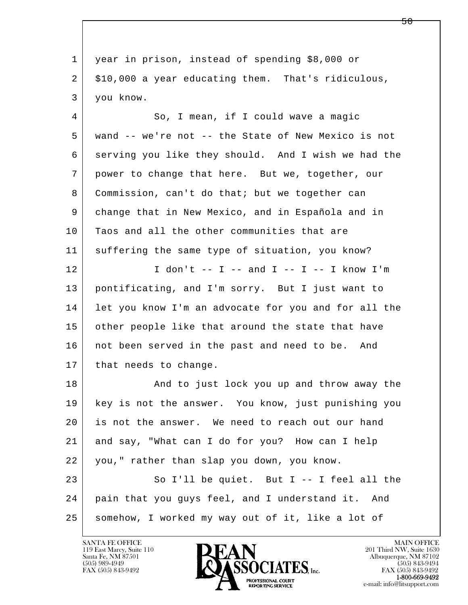l  $\overline{\phantom{a}}$  1 year in prison, instead of spending \$8,000 or 2 \$10,000 a year educating them. That's ridiculous, 3 you know. 4 So, I mean, if I could wave a magic 5 wand -- we're not -- the State of New Mexico is not 6 serving you like they should. And I wish we had the 7 power to change that here. But we, together, our 8 Commission, can't do that; but we together can 9 change that in New Mexico, and in Española and in 10 Taos and all the other communities that are 11 suffering the same type of situation, you know? 12 I don't -- I -- and I -- I -- I know I'm 13 pontificating, and I'm sorry. But I just want to 14 let you know I'm an advocate for you and for all the 15 other people like that around the state that have 16 | not been served in the past and need to be. And 17 | that needs to change. 18 | And to just lock you up and throw away the 19 key is not the answer. You know, just punishing you 20 is not the answer. We need to reach out our hand 21 and say, "What can I do for you? How can I help 22 you," rather than slap you down, you know. 23 So I'll be quiet. But I -- I feel all the 24 pain that you guys feel, and I understand it. And 25 somehow, I worked my way out of it, like a lot of

119 East Marcy, Suite 110<br>Santa Fe, NM 87501

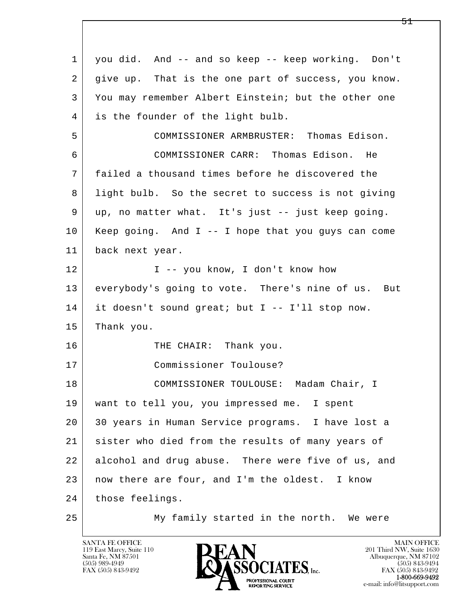| 1  | you did. And -- and so keep -- keep working. Don't   |
|----|------------------------------------------------------|
| 2  | give up. That is the one part of success, you know.  |
| 3  | You may remember Albert Einstein; but the other one  |
| 4  | is the founder of the light bulb.                    |
| 5  | COMMISSIONER ARMBRUSTER: Thomas Edison.              |
| 6  | COMMISSIONER CARR: Thomas Edison. He                 |
| 7  | failed a thousand times before he discovered the     |
| 8  | light bulb. So the secret to success is not giving   |
| 9  | up, no matter what. It's just -- just keep going.    |
| 10 | Keep going. And $I$ -- I hope that you guys can come |
| 11 | back next year.                                      |
| 12 | I -- you know, I don't know how                      |
| 13 | everybody's going to vote. There's nine of us. But   |
| 14 | it doesn't sound great; but I -- I'll stop now.      |
| 15 | Thank you.                                           |
| 16 | THE CHAIR: Thank you.                                |
| 17 | Commissioner Toulouse?                               |
| 18 | COMMISSIONER TOULOUSE: Madam Chair, I                |
| 19 | want to tell you, you impressed me. I spent          |
| 20 | 30 years in Human Service programs. I have lost a    |
| 21 | sister who died from the results of many years of    |
| 22 | alcohol and drug abuse. There were five of us, and   |
| 23 | now there are four, and I'm the oldest. I know       |
| 24 | those feelings.                                      |
| 25 | My family started in the north. We were              |

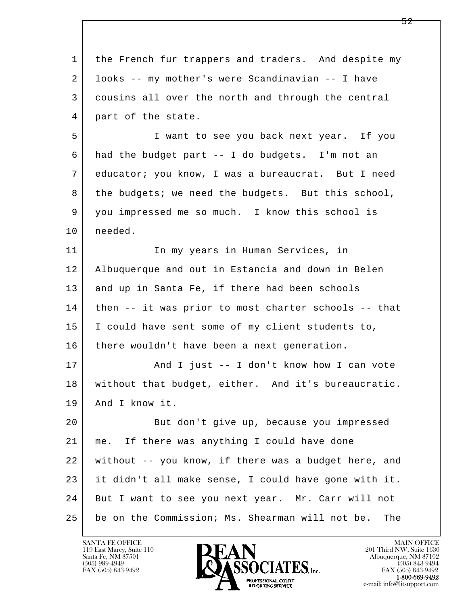l  $\overline{\phantom{a}}$  1 the French fur trappers and traders. And despite my 2 looks -- my mother's were Scandinavian -- I have 3 cousins all over the north and through the central 4 part of the state. 5 I want to see you back next year. If you 6 had the budget part -- I do budgets. I'm not an 7 educator; you know, I was a bureaucrat. But I need 8 | the budgets; we need the budgets. But this school, 9 you impressed me so much. I know this school is 10 needed. 11 | In my years in Human Services, in 12 Albuquerque and out in Estancia and down in Belen 13 and up in Santa Fe, if there had been schools 14 then -- it was prior to most charter schools -- that 15 | I could have sent some of my client students to, 16 there wouldn't have been a next generation. 17 | And I just -- I don't know how I can vote 18 without that budget, either. And it's bureaucratic. 19 And I know it. 20 But don't give up, because you impressed 21 me. If there was anything I could have done 22 without -- you know, if there was a budget here, and 23 it didn't all make sense, I could have gone with it. 24 But I want to see you next year. Mr. Carr will not 25 be on the Commission; Ms. Shearman will not be. The

119 East Marcy, Suite 110<br>Santa Fe, NM 87501

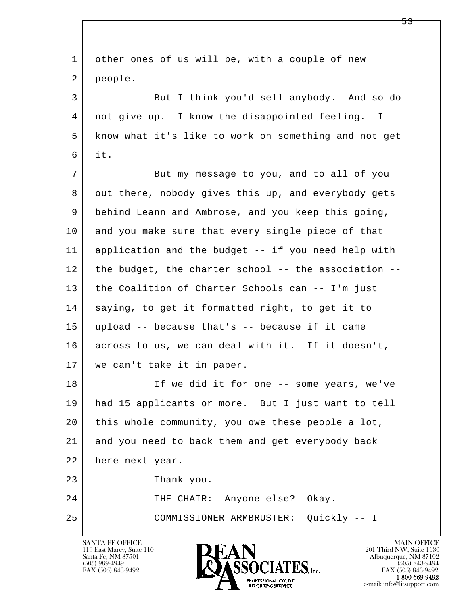| 1  | other ones of us will be, with a couple of new       |
|----|------------------------------------------------------|
| 2  | people.                                              |
| 3  | But I think you'd sell anybody. And so do            |
| 4  | not give up. I know the disappointed feeling. I      |
| 5  | know what it's like to work on something and not get |
| 6  | it.                                                  |
| 7  | But my message to you, and to all of you             |
| 8  | out there, nobody gives this up, and everybody gets  |
| 9  | behind Leann and Ambrose, and you keep this going,   |
| 10 | and you make sure that every single piece of that    |
| 11 | application and the budget -- if you need help with  |
| 12 | the budget, the charter school -- the association -- |
| 13 | the Coalition of Charter Schools can -- I'm just     |
| 14 | saying, to get it formatted right, to get it to      |
| 15 | upload -- because that's -- because if it came       |
| 16 | across to us, we can deal with it. If it doesn't,    |
| 17 | we can't take it in paper.                           |
| 18 | If we did it for one -- some years, we've            |
| 19 | had 15 applicants or more. But I just want to tell   |
| 20 | this whole community, you owe these people a lot,    |
| 21 | and you need to back them and get everybody back     |
| 22 | here next year.                                      |
| 23 | Thank you.                                           |
| 24 | THE CHAIR: Anyone else? Okay.                        |
| 25 | COMMISSIONER ARMBRUSTER:<br>Quickly -- I             |
|    |                                                      |

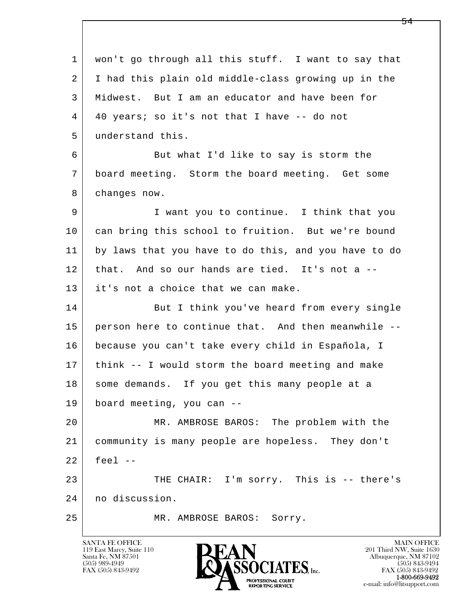l  $\overline{\phantom{a}}$  1 won't go through all this stuff. I want to say that 2 I had this plain old middle-class growing up in the 3 Midwest. But I am an educator and have been for 4 40 years; so it's not that I have -- do not 5 understand this. 6 But what I'd like to say is storm the 7 board meeting. Storm the board meeting. Get some 8 changes now. 9 I want you to continue. I think that you 10 | can bring this school to fruition. But we're bound 11 by laws that you have to do this, and you have to do 12 that. And so our hands are tied. It's not a -- 13 it's not a choice that we can make. 14 But I think you've heard from every single 15 person here to continue that. And then meanwhile -- 16 because you can't take every child in Española, I 17 think -- I would storm the board meeting and make 18 | some demands. If you get this many people at a 19 board meeting, you can -- 20 MR. AMBROSE BAROS: The problem with the 21 community is many people are hopeless. They don't  $22$  feel  $-$ 23 | THE CHAIR: I'm sorry. This is -- there's 24 no discussion. 25 MR. AMBROSE BAROS: Sorry.

119 East Marcy, Suite 110<br>Santa Fe, NM 87501

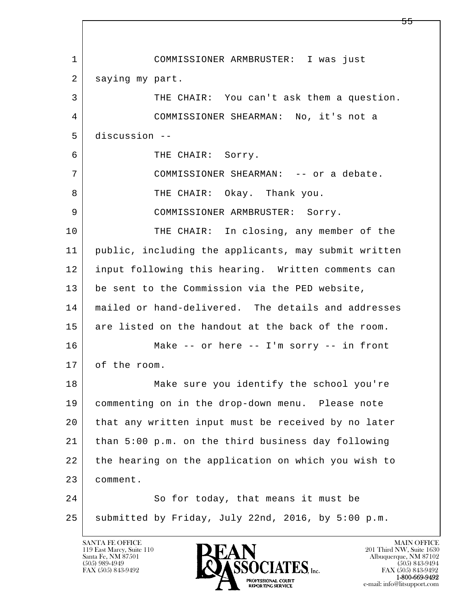l  $\overline{\phantom{a}}$  1 COMMISSIONER ARMBRUSTER: I was just 2 saying my part. 3 THE CHAIR: You can't ask them a question. 4 COMMISSIONER SHEARMAN: No, it's not a 5 discussion -- 6 THE CHAIR: Sorry. 7 COMMISSIONER SHEARMAN: -- or a debate. 8 THE CHAIR: Okay. Thank you. 9 COMMISSIONER ARMBRUSTER: Sorry. 10 THE CHAIR: In closing, any member of the 11 public, including the applicants, may submit written 12 input following this hearing. Written comments can 13 be sent to the Commission via the PED website, 14 mailed or hand-delivered. The details and addresses 15 are listed on the handout at the back of the room. 16 Make -- or here -- I'm sorry -- in front 17 of the room. 18 Make sure you identify the school you're 19 commenting on in the drop-down menu. Please note 20 that any written input must be received by no later 21 than 5:00 p.m. on the third business day following 22 the hearing on the application on which you wish to 23 comment. 24 So for today, that means it must be 25 submitted by Friday, July 22nd, 2016, by 5:00 p.m.

119 East Marcy, Suite 110<br>Santa Fe, NM 87501

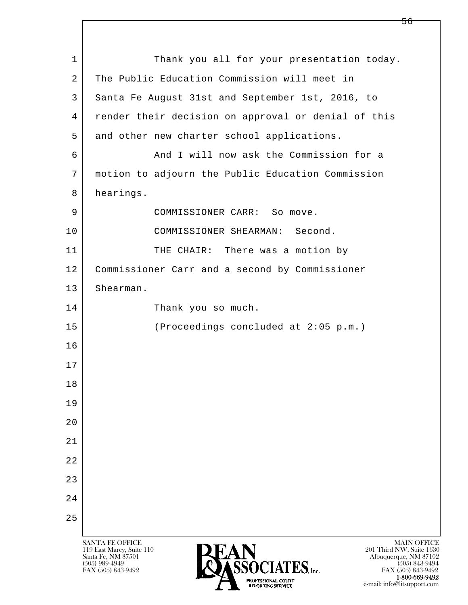l  $\overline{\phantom{a}}$ SANTA FE OFFICE MAIN OFFICE MAIN OFFICE MAIN OFFICE MAIN OFFICE 1 Thank you all for your presentation today. 2 The Public Education Commission will meet in 3 Santa Fe August 31st and September 1st, 2016, to 4 render their decision on approval or denial of this 5 and other new charter school applications. 6 And I will now ask the Commission for a 7 motion to adjourn the Public Education Commission 8 hearings. 9 | COMMISSIONER CARR: So move. 10 COMMISSIONER SHEARMAN: Second. 11 THE CHAIR: There was a motion by 12 | Commissioner Carr and a second by Commissioner 13 Shearman. 14 Thank you so much. 15 (Proceedings concluded at 2:05 p.m.) 16 17 18 19  $2.0$  21 22 23 24 25

119 East Marcy, Suite 110<br>Santa Fe, NM 87501



FAX (505) 843-9492 FAX (505) 843-9492 e-mail: info@litsupport.com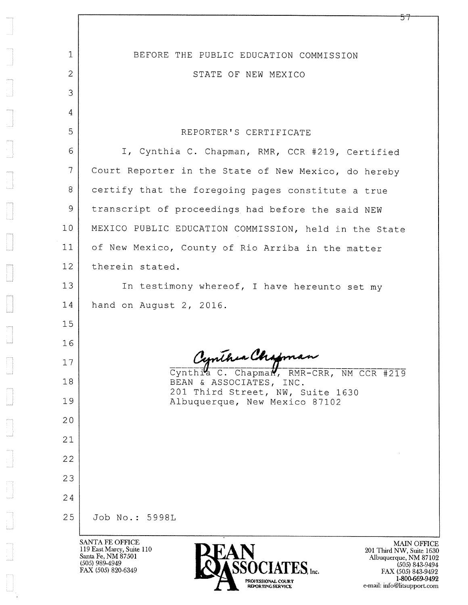| 1              | BEFORE THE PUBLIC EDUCATION COMMISSION                                                                                           |
|----------------|----------------------------------------------------------------------------------------------------------------------------------|
| $\overline{c}$ | STATE OF NEW MEXICO                                                                                                              |
| 3              |                                                                                                                                  |
| 4              |                                                                                                                                  |
| 5              | REPORTER'S CERTIFICATE                                                                                                           |
| 6              | I, Cynthia C. Chapman, RMR, CCR #219, Certified                                                                                  |
| $\overline{7}$ | Court Reporter in the State of New Mexico, do hereby                                                                             |
| 8              | certify that the foregoing pages constitute a true                                                                               |
| 9              | transcript of proceedings had before the said NEW                                                                                |
| 10             | MEXICO PUBLIC EDUCATION COMMISSION, held in the State                                                                            |
| 11             | of New Mexico, County of Rio Arriba in the matter                                                                                |
| 12             | therein stated.                                                                                                                  |
| 13             | In testimony whereof, I have hereunto set my                                                                                     |
| 14             | hand on August 2, 2016.                                                                                                          |
| 15             |                                                                                                                                  |
| 16             |                                                                                                                                  |
| 17             | Cynthia C. Chapman<br>Cynthia C. Chapman, RMR-CRR, NM CCR #219                                                                   |
| 18             | BEAN & ASSOCIATES, INC.                                                                                                          |
| 19             | 201 Third Street, NW, Suite 1630<br>Albuquerque, New Mexico 87102                                                                |
| 20             |                                                                                                                                  |
| 21             |                                                                                                                                  |
| 22             |                                                                                                                                  |
| 23             |                                                                                                                                  |
| 24             |                                                                                                                                  |
| 25             | Job No.: 5998L                                                                                                                   |
|                | SANTA FE OFFICE<br><b>MAIN OF</b><br>119 East Marcy, Suite 110<br>201 Third NW, Suite<br>Santa Fe, NM 87501<br>Albuquerque, NM 8 |

(505) 989-4949<br>FAX (505) 820-6349

 $\bigcup_{\alpha\in\mathbb{N}^n}$ 



MAIN OFFICE<br>
Third NW, Suite 1630<br>
uquerque, NM 87102<br>
(505) 843-9494<br>
FAX (505) 843-9492<br>
1-800-669-9492<br>
it: info@liteup.port.com e-mail: info@litsupport.com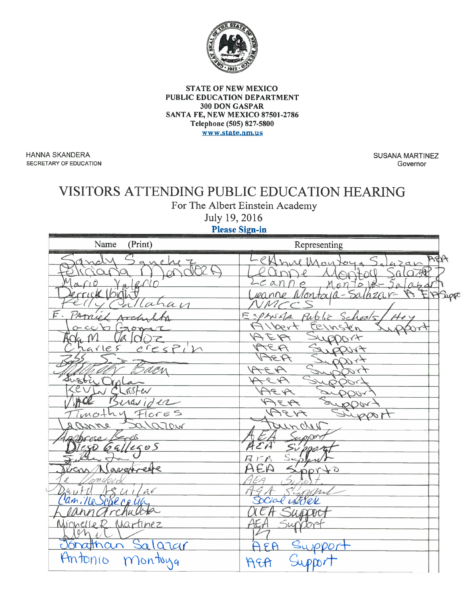

**STATE OF NEW MEXICO** PUBLIC EDUCATION DEPARTMENT 300 DON GASPAR SANTA FE, NEW MEXICO 87501-2786 Telephone (505) 827-5800 www.state.nm.us

HANNA SKANDERA **SECRETARY OF EDUCATION**  **SUSANA MARTINEZ** Governor

## VISITORS ATTENDING PUBLIC EDUCATION HEARING

For The Albert Einstein Academy

July 19, 2016

**Please Sign-in** 

| (Print)<br>Name                               | Representing                                                      |
|-----------------------------------------------|-------------------------------------------------------------------|
| anche 7                                       | ASA<br>$e$ K<br>nul Montoya S.<br>42a<br>$C\alpha$<br>$n$ nto $M$ |
| ran                                           | EleBuppo<br>$-$ Salhzar A<br>eanne Montaig                        |
| F.<br>$7'$ A<br>$\mathbb{Z}^n$<br>-OTV        | $S_{\leq}$<br>戸<br>$\ell$<br>heols<br>41y<br><b>CEN</b><br>M      |
| Gfle<br>CfESP'                                | 10001+                                                            |
| den                                           | RS                                                                |
| tustu<br>ASFEV<br>ucw/dn                      |                                                                   |
| Flores<br>hy<br>arow                          | NOON-<br>احترابيع<br>arvon                                        |
| Gailcsos                                      | كمأكحه                                                            |
| ette<br>aver<br>cas                           | H<br>ofriga                                                       |
| $\tilde{\mathfrak{a}}$ 6<br>\$U1              |                                                                   |
| checella<br>$\alpha$ m, $\mu_{\ell}$<br>julbe | dal Work<br>UPPO                                                  |
| Michelle R. Martinez                          |                                                                   |
| <u>ónathan Salazar</u><br>Antonio<br>Montoya  | Suppo<br>FA                                                       |
|                                               | $H$ EA                                                            |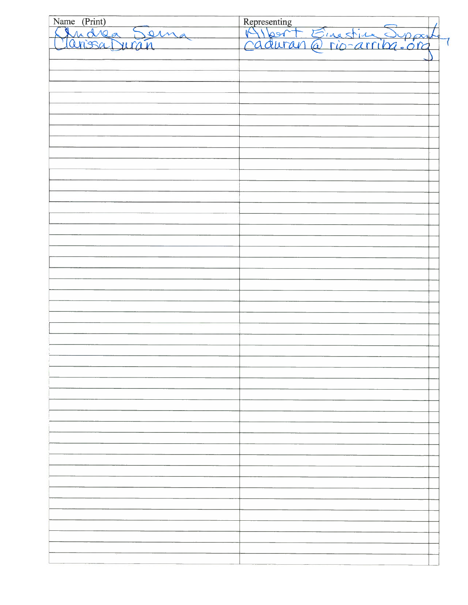| Name (Print)    | Representing<br>Albert Einestine Support |  |
|-----------------|------------------------------------------|--|
| udrea ?<br>eing |                                          |  |
| an              |                                          |  |
|                 |                                          |  |
|                 |                                          |  |
|                 |                                          |  |
|                 |                                          |  |
|                 |                                          |  |
|                 |                                          |  |
|                 |                                          |  |
|                 |                                          |  |
|                 |                                          |  |
|                 |                                          |  |
|                 |                                          |  |
|                 |                                          |  |
|                 |                                          |  |
|                 |                                          |  |
|                 |                                          |  |
|                 |                                          |  |
|                 |                                          |  |
|                 |                                          |  |
|                 |                                          |  |
|                 |                                          |  |
|                 |                                          |  |
|                 |                                          |  |
|                 |                                          |  |
|                 |                                          |  |
|                 |                                          |  |
|                 |                                          |  |
|                 |                                          |  |
|                 |                                          |  |
|                 |                                          |  |
|                 |                                          |  |
|                 |                                          |  |
|                 |                                          |  |
|                 |                                          |  |
|                 |                                          |  |
|                 |                                          |  |
|                 |                                          |  |
|                 |                                          |  |
|                 |                                          |  |
|                 |                                          |  |
|                 |                                          |  |
|                 |                                          |  |
|                 |                                          |  |
|                 |                                          |  |
|                 |                                          |  |
|                 |                                          |  |
|                 |                                          |  |
|                 |                                          |  |
|                 |                                          |  |
|                 |                                          |  |
|                 |                                          |  |
|                 |                                          |  |